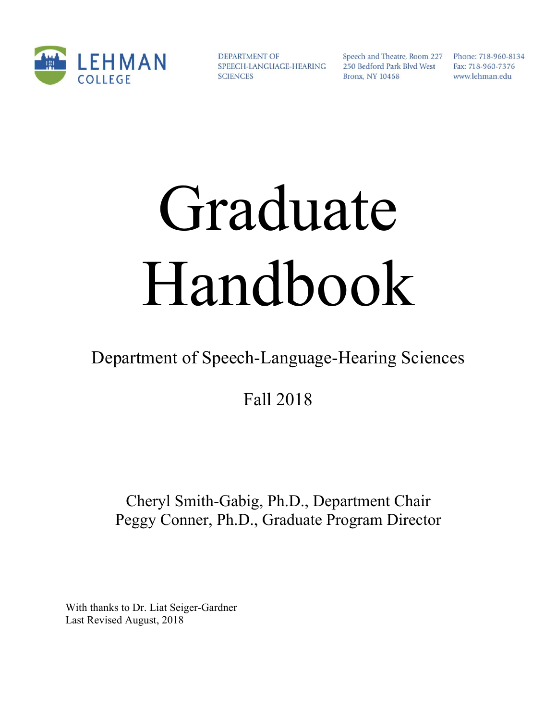

**DEPARTMENT OF** SPEECH-LANGUAGE-HEARING **SCIENCES** 

Speech and Theatre, Room 227 Phone: 718-960-8134 250 Bedford Park Blvd West **Bronx, NY 10468** 

Fax: 718-960-7376 www.lehman.edu

# Graduate Handbook

# Department of Speech-Language-Hearing Sciences

Fall 2018

# Cheryl Smith-Gabig, Ph.D., Department Chair Peggy Conner, Ph.D., Graduate Program Director

With thanks to Dr. Liat Seiger-Gardner Last Revised August, 2018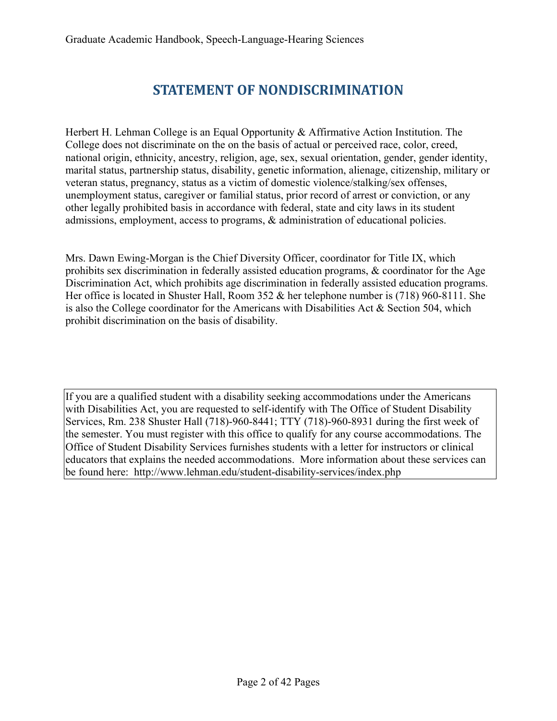# **STATEMENT OF NONDISCRIMINATION**

Herbert H. Lehman College is an Equal Opportunity & Affirmative Action Institution. The College does not discriminate on the on the basis of actual or perceived race, color, creed, national origin, ethnicity, ancestry, religion, age, sex, sexual orientation, gender, gender identity, marital status, partnership status, disability, genetic information, alienage, citizenship, military or veteran status, pregnancy, status as a victim of domestic violence/stalking/sex offenses, unemployment status, caregiver or familial status, prior record of arrest or conviction, or any other legally prohibited basis in accordance with federal, state and city laws in its student admissions, employment, access to programs, & administration of educational policies.

Mrs. Dawn Ewing-Morgan is the Chief Diversity Officer, coordinator for Title IX, which prohibits sex discrimination in federally assisted education programs, & coordinator for the Age Discrimination Act, which prohibits age discrimination in federally assisted education programs. Her office is located in Shuster Hall, Room 352 & her telephone number is (718) 960-8111. She is also the College coordinator for the Americans with Disabilities Act & Section 504, which prohibit discrimination on the basis of disability.

If you are a qualified student with a disability seeking accommodations under the Americans with Disabilities Act, you are requested to self-identify with The Office of Student Disability Services, Rm. 238 Shuster Hall (718)-960-8441; TTY (718)-960-8931 during the first week of the semester. You must register with this office to qualify for any course accommodations. The Office of Student Disability Services furnishes students with a letter for instructors or clinical educators that explains the needed accommodations. More information about these services can be found here: http://www.lehman.edu/student-disability-services/index.php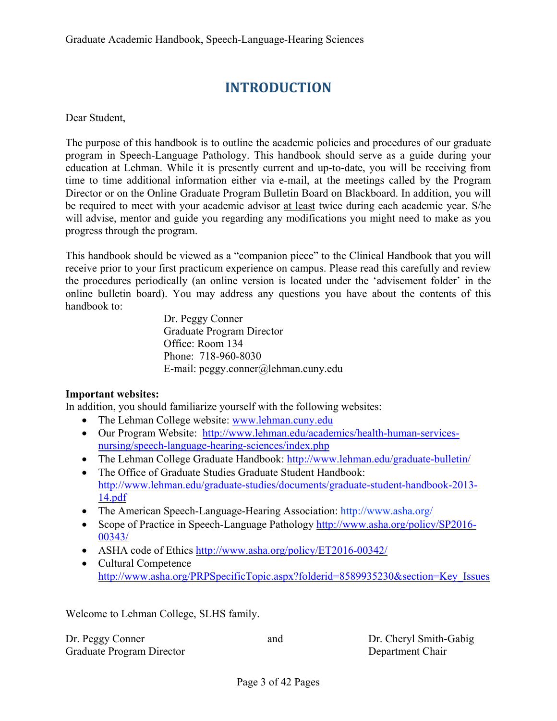# **INTRODUCTION**

Dear Student,

The purpose of this handbook is to outline the academic policies and procedures of our graduate program in Speech-Language Pathology. This handbook should serve as a guide during your education at Lehman. While it is presently current and up-to-date, you will be receiving from time to time additional information either via e-mail, at the meetings called by the Program Director or on the Online Graduate Program Bulletin Board on Blackboard. In addition, you will be required to meet with your academic advisor at least twice during each academic year. S/he will advise, mentor and guide you regarding any modifications you might need to make as you progress through the program.

This handbook should be viewed as a "companion piece" to the Clinical Handbook that you will receive prior to your first practicum experience on campus. Please read this carefully and review the procedures periodically (an online version is located under the 'advisement folder' in the online bulletin board). You may address any questions you have about the contents of this handbook to:

> Dr. Peggy Conner Graduate Program Director Office: Room 134 Phone: 718-960-8030 E-mail: peggy.conner@lehman.cuny.edu

#### **Important websites:**

In addition, you should familiarize yourself with the following websites:

- The Lehman College website: www.lehman.cuny.edu
- Our Program Website: http://www.lehman.edu/academics/health-human-servicesnursing/speech-language-hearing-sciences/index.php
- The Lehman College Graduate Handbook: http://www.lehman.edu/graduate-bulletin/
- The Office of Graduate Studies Graduate Student Handbook: http://www.lehman.edu/graduate-studies/documents/graduate-student-handbook-2013- 14.pdf
- The American Speech-Language-Hearing Association: http://www.asha.org/
- Scope of Practice in Speech-Language Pathology http://www.asha.org/policy/SP2016-00343/
- ASHA code of Ethics http://www.asha.org/policy/ET2016-00342/
- Cultural Competence http://www.asha.org/PRPSpecificTopic.aspx?folderid=8589935230&section=Key\_Issues

Welcome to Lehman College, SLHS family.

| Dr. Peggy Conner          |  |
|---------------------------|--|
| Graduate Program Director |  |

and Dr. Cheryl Smith-Gabig Department Chair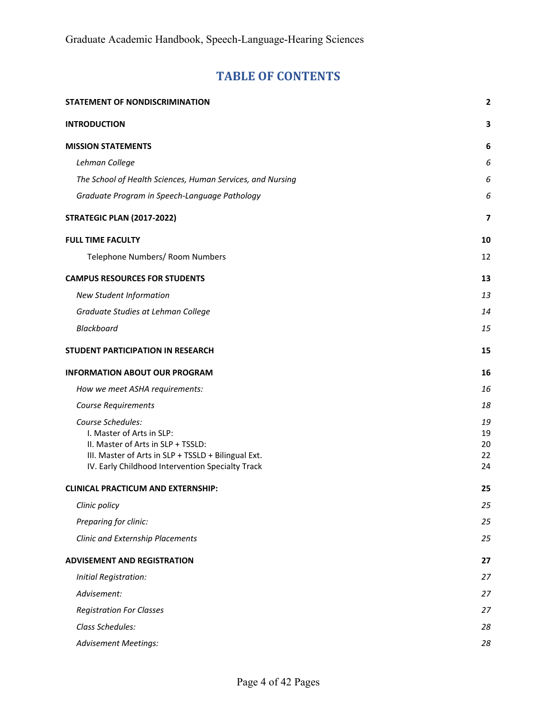# **TABLE OF CONTENTS**

| STATEMENT OF NONDISCRIMINATION                                                                                                                                                                  | $\overline{\mathbf{2}}$    |
|-------------------------------------------------------------------------------------------------------------------------------------------------------------------------------------------------|----------------------------|
| <b>INTRODUCTION</b>                                                                                                                                                                             | 3                          |
| <b>MISSION STATEMENTS</b>                                                                                                                                                                       | 6                          |
| Lehman College                                                                                                                                                                                  | 6                          |
| The School of Health Sciences, Human Services, and Nursing                                                                                                                                      | 6                          |
| Graduate Program in Speech-Language Pathology                                                                                                                                                   | 6                          |
| <b>STRATEGIC PLAN (2017-2022)</b>                                                                                                                                                               | 7                          |
| <b>FULL TIME FACULTY</b>                                                                                                                                                                        | 10                         |
| Telephone Numbers/ Room Numbers                                                                                                                                                                 | 12                         |
| <b>CAMPUS RESOURCES FOR STUDENTS</b>                                                                                                                                                            | 13                         |
| <b>New Student Information</b>                                                                                                                                                                  | 13                         |
| Graduate Studies at Lehman College                                                                                                                                                              | 14                         |
| Blackboard                                                                                                                                                                                      | 15                         |
| STUDENT PARTICIPATION IN RESEARCH                                                                                                                                                               | 15                         |
| <b>INFORMATION ABOUT OUR PROGRAM</b>                                                                                                                                                            | 16                         |
| How we meet ASHA requirements:                                                                                                                                                                  | 16                         |
| <b>Course Requirements</b>                                                                                                                                                                      | 18                         |
| Course Schedules:<br>I. Master of Arts in SLP:<br>II. Master of Arts in SLP + TSSLD:<br>III. Master of Arts in SLP + TSSLD + Bilingual Ext.<br>IV. Early Childhood Intervention Specialty Track | 19<br>19<br>20<br>22<br>24 |
| <b>CLINICAL PRACTICUM AND EXTERNSHIP:</b>                                                                                                                                                       | 25                         |
| Clinic policy                                                                                                                                                                                   | 25                         |
| Preparing for clinic:                                                                                                                                                                           | 25                         |
| Clinic and Externship Placements                                                                                                                                                                | 25                         |
| <b>ADVISEMENT AND REGISTRATION</b>                                                                                                                                                              | 27                         |
| Initial Registration:                                                                                                                                                                           | 27                         |
| Advisement:                                                                                                                                                                                     | 27                         |
| <b>Registration For Classes</b>                                                                                                                                                                 | 27                         |
| Class Schedules:                                                                                                                                                                                | 28                         |
| <b>Advisement Meetings:</b>                                                                                                                                                                     | 28                         |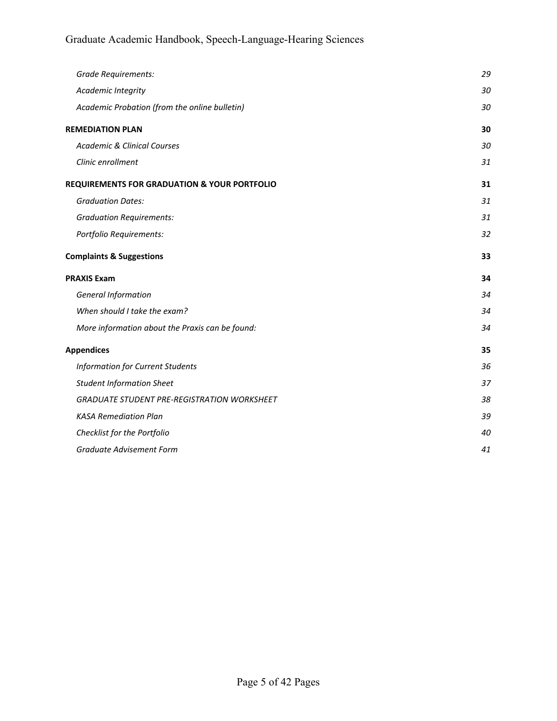| <b>Grade Requirements:</b>                              | 29 |
|---------------------------------------------------------|----|
| Academic Integrity                                      | 30 |
| Academic Probation (from the online bulletin)           | 30 |
| <b>REMEDIATION PLAN</b>                                 | 30 |
| <b>Academic &amp; Clinical Courses</b>                  | 30 |
| Clinic enrollment                                       | 31 |
| <b>REQUIREMENTS FOR GRADUATION &amp; YOUR PORTFOLIO</b> | 31 |
| <b>Graduation Dates:</b>                                | 31 |
| <b>Graduation Requirements:</b>                         | 31 |
| Portfolio Requirements:                                 | 32 |
| <b>Complaints &amp; Suggestions</b>                     | 33 |
|                                                         |    |
| <b>PRAXIS Exam</b>                                      | 34 |
| <b>General Information</b>                              | 34 |
| When should I take the exam?                            | 34 |
| More information about the Praxis can be found:         | 34 |
| <b>Appendices</b>                                       | 35 |
| <b>Information for Current Students</b>                 | 36 |
| <b>Student Information Sheet</b>                        | 37 |
| <b>GRADUATE STUDENT PRE-REGISTRATION WORKSHEET</b>      | 38 |
| <b>KASA Remediation Plan</b>                            | 39 |
| Checklist for the Portfolio                             | 40 |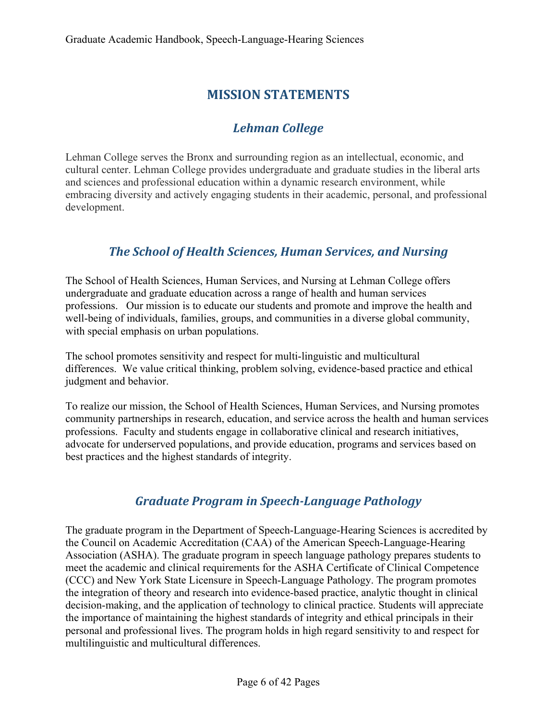# **MISSION STATEMENTS**

# *Lehman* College

Lehman College serves the Bronx and surrounding region as an intellectual, economic, and cultural center. Lehman College provides undergraduate and graduate studies in the liberal arts and sciences and professional education within a dynamic research environment, while embracing diversity and actively engaging students in their academic, personal, and professional development.

# *The School of Health Sciences, Human Services, and Nursing*

The School of Health Sciences, Human Services, and Nursing at Lehman College offers undergraduate and graduate education across a range of health and human services professions. Our mission is to educate our students and promote and improve the health and well-being of individuals, families, groups, and communities in a diverse global community, with special emphasis on urban populations.

The school promotes sensitivity and respect for multi-linguistic and multicultural differences. We value critical thinking, problem solving, evidence-based practice and ethical judgment and behavior.

To realize our mission, the School of Health Sciences, Human Services, and Nursing promotes community partnerships in research, education, and service across the health and human services professions. Faculty and students engage in collaborative clinical and research initiatives, advocate for underserved populations, and provide education, programs and services based on best practices and the highest standards of integrity.

# *Graduate Program in Speech‐Language Pathology*

The graduate program in the Department of Speech-Language-Hearing Sciences is accredited by the Council on Academic Accreditation (CAA) of the American Speech-Language-Hearing Association (ASHA). The graduate program in speech language pathology prepares students to meet the academic and clinical requirements for the ASHA Certificate of Clinical Competence (CCC) and New York State Licensure in Speech-Language Pathology. The program promotes the integration of theory and research into evidence-based practice, analytic thought in clinical decision-making, and the application of technology to clinical practice. Students will appreciate the importance of maintaining the highest standards of integrity and ethical principals in their personal and professional lives. The program holds in high regard sensitivity to and respect for multilinguistic and multicultural differences.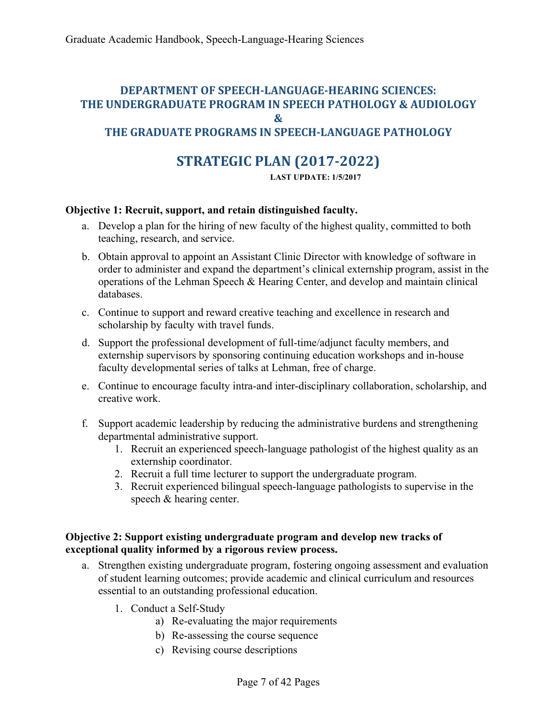#### **DEPARTMENT OF SPEECH‐LANGUAGE‐HEARING SCIENCES: THE UNDERGRADUATE PROGRAM IN SPEECH PATHOLOGY & AUDIOLOGY & THE GRADUATE PROGRAMS IN SPEECH‐LANGUAGE PATHOLOGY**

# **STRATEGIC PLAN (2017‐2022)**

 **LAST UPDATE: 1/5/2017** 

#### **Objective 1: Recruit, support, and retain distinguished faculty.**

- a. Develop a plan for the hiring of new faculty of the highest quality, committed to both teaching, research, and service.
- b. Obtain approval to appoint an Assistant Clinic Director with knowledge of software in order to administer and expand the department's clinical externship program, assist in the operations of the Lehman Speech & Hearing Center, and develop and maintain clinical databases.
- c. Continue to support and reward creative teaching and excellence in research and scholarship by faculty with travel funds.
- d. Support the professional development of full-time/adjunct faculty members, and externship supervisors by sponsoring continuing education workshops and in-house faculty developmental series of talks at Lehman, free of charge.
- e. Continue to encourage faculty intra-and inter-disciplinary collaboration, scholarship, and creative work.
- f. Support academic leadership by reducing the administrative burdens and strengthening departmental administrative support.
	- 1. Recruit an experienced speech-language pathologist of the highest quality as an externship coordinator.
	- 2. Recruit a full time lecturer to support the undergraduate program.
	- 3. Recruit experienced bilingual speech-language pathologists to supervise in the speech & hearing center.

#### **Objective 2: Support existing undergraduate program and develop new tracks of exceptional quality informed by a rigorous review process.**

- a. Strengthen existing undergraduate program, fostering ongoing assessment and evaluation of student learning outcomes; provide academic and clinical curriculum and resources essential to an outstanding professional education.
	- 1. Conduct a Self-Study
		- a) Re-evaluating the major requirements
		- b) Re-assessing the course sequence
		- c) Revising course descriptions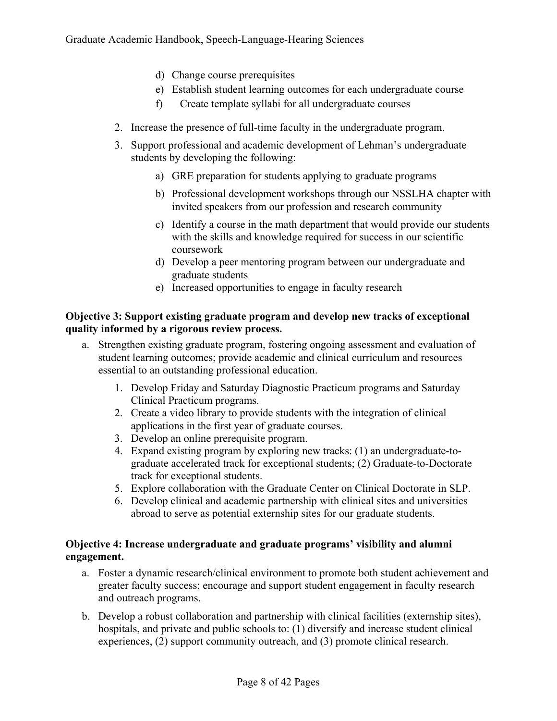- d) Change course prerequisites
- e) Establish student learning outcomes for each undergraduate course
- f) Create template syllabi for all undergraduate courses
- 2. Increase the presence of full-time faculty in the undergraduate program.
- 3. Support professional and academic development of Lehman's undergraduate students by developing the following:
	- a) GRE preparation for students applying to graduate programs
	- b) Professional development workshops through our NSSLHA chapter with invited speakers from our profession and research community
	- c) Identify a course in the math department that would provide our students with the skills and knowledge required for success in our scientific coursework
	- d) Develop a peer mentoring program between our undergraduate and graduate students
	- e) Increased opportunities to engage in faculty research

#### **Objective 3: Support existing graduate program and develop new tracks of exceptional quality informed by a rigorous review process.**

- a. Strengthen existing graduate program, fostering ongoing assessment and evaluation of student learning outcomes; provide academic and clinical curriculum and resources essential to an outstanding professional education.
	- 1. Develop Friday and Saturday Diagnostic Practicum programs and Saturday Clinical Practicum programs.
	- 2. Create a video library to provide students with the integration of clinical applications in the first year of graduate courses.
	- 3. Develop an online prerequisite program.
	- 4. Expand existing program by exploring new tracks: (1) an undergraduate-tograduate accelerated track for exceptional students; (2) Graduate-to-Doctorate track for exceptional students.
	- 5. Explore collaboration with the Graduate Center on Clinical Doctorate in SLP.
	- 6. Develop clinical and academic partnership with clinical sites and universities abroad to serve as potential externship sites for our graduate students.

#### **Objective 4: Increase undergraduate and graduate programs' visibility and alumni engagement.**

- a. Foster a dynamic research/clinical environment to promote both student achievement and greater faculty success; encourage and support student engagement in faculty research and outreach programs.
- b. Develop a robust collaboration and partnership with clinical facilities (externship sites), hospitals, and private and public schools to: (1) diversify and increase student clinical experiences, (2) support community outreach, and (3) promote clinical research.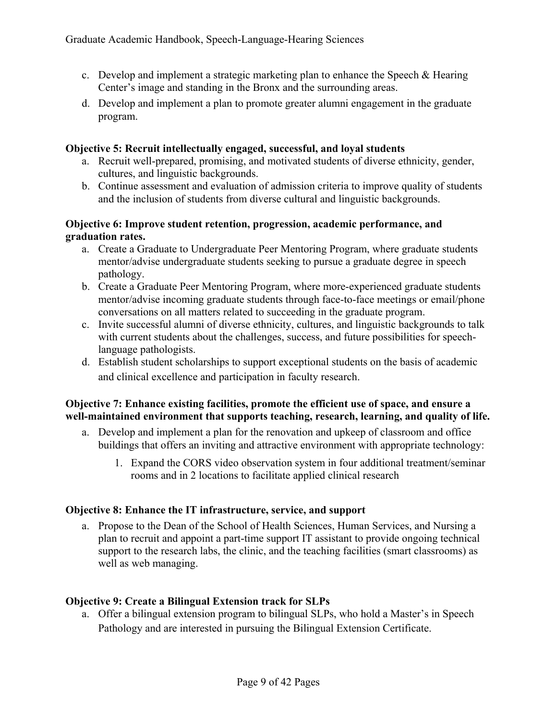- c. Develop and implement a strategic marketing plan to enhance the Speech & Hearing Center's image and standing in the Bronx and the surrounding areas.
- d. Develop and implement a plan to promote greater alumni engagement in the graduate program.

#### **Objective 5: Recruit intellectually engaged, successful, and loyal students**

- a. Recruit well-prepared, promising, and motivated students of diverse ethnicity, gender, cultures, and linguistic backgrounds.
- b. Continue assessment and evaluation of admission criteria to improve quality of students and the inclusion of students from diverse cultural and linguistic backgrounds.

#### **Objective 6: Improve student retention, progression, academic performance, and graduation rates.**

- a. Create a Graduate to Undergraduate Peer Mentoring Program, where graduate students mentor/advise undergraduate students seeking to pursue a graduate degree in speech pathology.
- b. Create a Graduate Peer Mentoring Program, where more-experienced graduate students mentor/advise incoming graduate students through face-to-face meetings or email/phone conversations on all matters related to succeeding in the graduate program.
- c. Invite successful alumni of diverse ethnicity, cultures, and linguistic backgrounds to talk with current students about the challenges, success, and future possibilities for speechlanguage pathologists.
- d. Establish student scholarships to support exceptional students on the basis of academic and clinical excellence and participation in faculty research.

#### **Objective 7: Enhance existing facilities, promote the efficient use of space, and ensure a well-maintained environment that supports teaching, research, learning, and quality of life.**

- a. Develop and implement a plan for the renovation and upkeep of classroom and office buildings that offers an inviting and attractive environment with appropriate technology:
	- 1. Expand the CORS video observation system in four additional treatment/seminar rooms and in 2 locations to facilitate applied clinical research

#### **Objective 8: Enhance the IT infrastructure, service, and support**

a. Propose to the Dean of the School of Health Sciences, Human Services, and Nursing a plan to recruit and appoint a part-time support IT assistant to provide ongoing technical support to the research labs, the clinic, and the teaching facilities (smart classrooms) as well as web managing.

#### **Objective 9: Create a Bilingual Extension track for SLPs**

a. Offer a bilingual extension program to bilingual SLPs, who hold a Master's in Speech Pathology and are interested in pursuing the Bilingual Extension Certificate.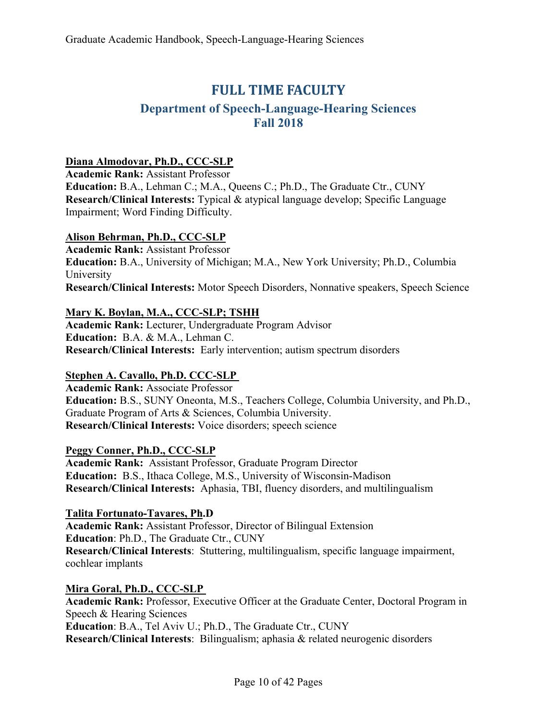# **FULL TIME FACULTY**

# **Department of Speech-Language-Hearing Sciences Fall 2018**

#### **Diana Almodovar, Ph.D., CCC-SLP**

**Academic Rank:** Assistant Professor **Education:** B.A., Lehman C.; M.A., Queens C.; Ph.D., The Graduate Ctr., CUNY **Research/Clinical Interests:** Typical & atypical language develop; Specific Language Impairment; Word Finding Difficulty.

#### **Alison Behrman, Ph.D., CCC-SLP**

**Academic Rank:** Assistant Professor **Education:** B.A., University of Michigan; M.A., New York University; Ph.D., Columbia University **Research/Clinical Interests:** Motor Speech Disorders, Nonnative speakers, Speech Science

#### **Mary K. Boylan, M.A., CCC-SLP; TSHH**

**Academic Rank:** Lecturer, Undergraduate Program Advisor **Education:** B.A. & M.A., Lehman C. **Research/Clinical Interests:** Early intervention; autism spectrum disorders

#### **Stephen A. Cavallo, Ph.D. CCC-SLP**

**Academic Rank:** Associate Professor **Education:** B.S., SUNY Oneonta, M.S., Teachers College, Columbia University, and Ph.D., Graduate Program of Arts & Sciences, Columbia University. **Research/Clinical Interests:** Voice disorders; speech science

#### **Peggy Conner, Ph.D., CCC-SLP**

**Academic Rank:** Assistant Professor, Graduate Program Director **Education:** B.S., Ithaca College, M.S., University of Wisconsin-Madison **Research/Clinical Interests:** Aphasia, TBI, fluency disorders, and multilingualism

**Talita Fortunato-Tavares, Ph.D Academic Rank:** Assistant Professor, Director of Bilingual Extension **Education**: Ph.D., The Graduate Ctr., CUNY **Research/Clinical Interests**: Stuttering, multilingualism, specific language impairment, cochlear implants

**Mira Goral, Ph.D., CCC-SLP**

**Academic Rank:** Professor, Executive Officer at the Graduate Center, Doctoral Program in Speech & Hearing Sciences **Education**: B.A., Tel Aviv U.; Ph.D., The Graduate Ctr., CUNY **Research/Clinical Interests**: Bilingualism; aphasia & related neurogenic disorders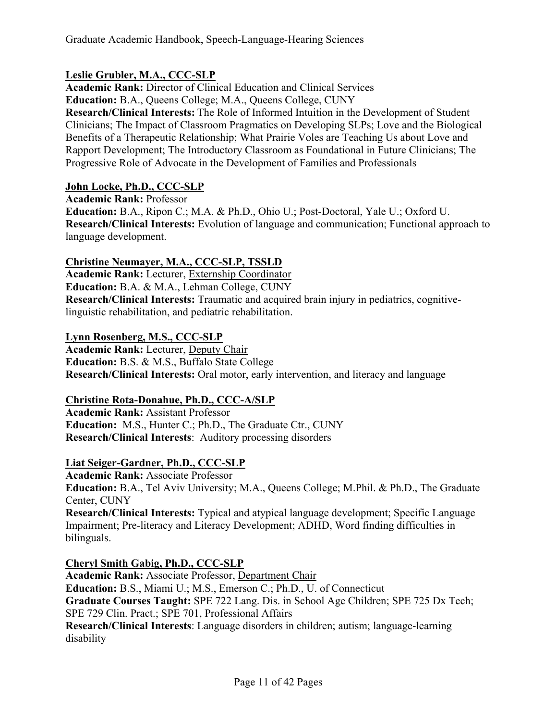#### **Leslie Grubler, M.A., CCC-SLP**

**Academic Rank:** Director of Clinical Education and Clinical Services **Education:** B.A., Queens College; M.A., Queens College, CUNY **Research/Clinical Interests:** The Role of Informed Intuition in the Development of Student Clinicians; The Impact of Classroom Pragmatics on Developing SLPs; Love and the Biological Benefits of a Therapeutic Relationship; What Prairie Voles are Teaching Us about Love and Rapport Development; The Introductory Classroom as Foundational in Future Clinicians; The Progressive Role of Advocate in the Development of Families and Professionals

#### **John Locke, Ph.D., CCC-SLP**

**Academic Rank:** Professor **Education:** B.A., Ripon C.; M.A. & Ph.D., Ohio U.; Post-Doctoral, Yale U.; Oxford U. **Research/Clinical Interests:** Evolution of language and communication; Functional approach to language development.

#### **Christine Neumayer, M.A., CCC-SLP, TSSLD**

**Academic Rank:** Lecturer, Externship Coordinator **Education:** B.A. & M.A., Lehman College, CUNY **Research/Clinical Interests:** Traumatic and acquired brain injury in pediatrics, cognitivelinguistic rehabilitation, and pediatric rehabilitation.

#### **Lynn Rosenberg, M.S., CCC-SLP**

**Academic Rank:** Lecturer, Deputy Chair **Education:** B.S. & M.S., Buffalo State College **Research/Clinical Interests:** Oral motor, early intervention, and literacy and language

#### **Christine Rota-Donahue, Ph.D., CCC-A/SLP**

**Academic Rank:** Assistant Professor **Education:** M.S., Hunter C.; Ph.D., The Graduate Ctr., CUNY **Research/Clinical Interests**: Auditory processing disorders

#### **Liat Seiger-Gardner, Ph.D., CCC-SLP**

**Academic Rank:** Associate Professor **Education:** B.A., Tel Aviv University; M.A., Queens College; M.Phil. & Ph.D., The Graduate Center, CUNY **Research/Clinical Interests:** Typical and atypical language development; Specific Language Impairment; Pre-literacy and Literacy Development; ADHD, Word finding difficulties in bilinguals.

**Cheryl Smith Gabig, Ph.D., CCC-SLP** 

**Academic Rank:** Associate Professor, Department Chair **Education:** B.S., Miami U.; M.S., Emerson C.; Ph.D., U. of Connecticut **Graduate Courses Taught:** SPE 722 Lang. Dis. in School Age Children; SPE 725 Dx Tech; SPE 729 Clin. Pract.; SPE 701, Professional Affairs **Research/Clinical Interests**: Language disorders in children; autism; language-learning disability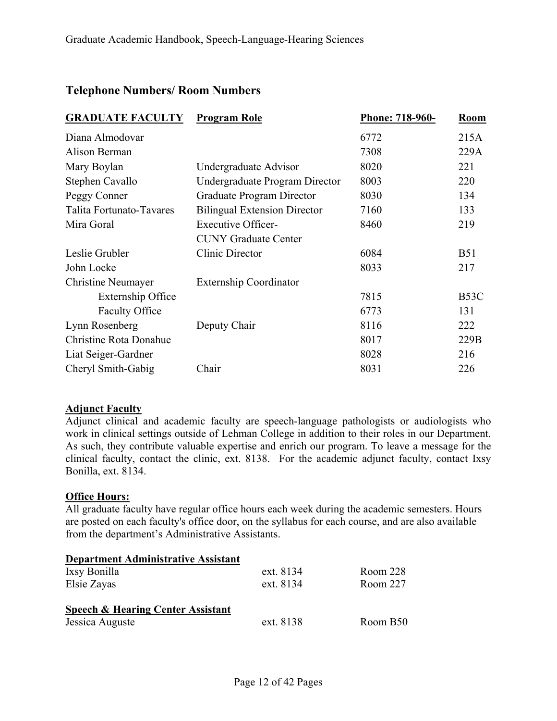#### **Telephone Numbers/ Room Numbers**

| <b>GRADUATE FACULTY</b>   | <b>Program Role</b>                 | Phone: 718-960- | <b>Room</b>       |
|---------------------------|-------------------------------------|-----------------|-------------------|
| Diana Almodovar           |                                     | 6772            | 215A              |
| Alison Berman             |                                     | 7308            | 229A              |
| Mary Boylan               | Undergraduate Advisor               | 8020            | 221               |
| Stephen Cavallo           | Undergraduate Program Director      | 8003            | 220               |
| Peggy Conner              | Graduate Program Director           | 8030            | 134               |
| Talita Fortunato-Tavares  | <b>Bilingual Extension Director</b> | 7160            | 133               |
| Mira Goral                | <b>Executive Officer-</b>           | 8460            | 219               |
|                           | <b>CUNY Graduate Center</b>         |                 |                   |
| Leslie Grubler            | <b>Clinic Director</b>              | 6084            | <b>B51</b>        |
| John Locke                |                                     | 8033            | 217               |
| <b>Christine Neumayer</b> | <b>Externship Coordinator</b>       |                 |                   |
| Externship Office         |                                     | 7815            | B <sub>53</sub> C |
| <b>Faculty Office</b>     |                                     | 6773            | 131               |
| Lynn Rosenberg            | Deputy Chair                        | 8116            | 222               |
| Christine Rota Donahue    |                                     | 8017            | 229B              |
| Liat Seiger-Gardner       |                                     | 8028            | 216               |
| Cheryl Smith-Gabig        | Chair                               | 8031            | 226               |

#### **Adjunct Faculty**

Adjunct clinical and academic faculty are speech-language pathologists or audiologists who work in clinical settings outside of Lehman College in addition to their roles in our Department. As such, they contribute valuable expertise and enrich our program. To leave a message for the clinical faculty, contact the clinic, ext. 8138. For the academic adjunct faculty, contact Ixsy Bonilla, ext. 8134.

#### **Office Hours:**

All graduate faculty have regular office hours each week during the academic semesters. Hours are posted on each faculty's office door, on the syllabus for each course, and are also available from the department's Administrative Assistants.

| <b>Department Administrative Assistant</b> |           |          |
|--------------------------------------------|-----------|----------|
| Ixsy Bonilla                               | ext. 8134 | Room 228 |
| Elsie Zayas                                | ext. 8134 | Room 227 |
| Speech & Hearing Center Assistant          |           |          |
| Jessica Auguste                            | ext. 8138 | Room B50 |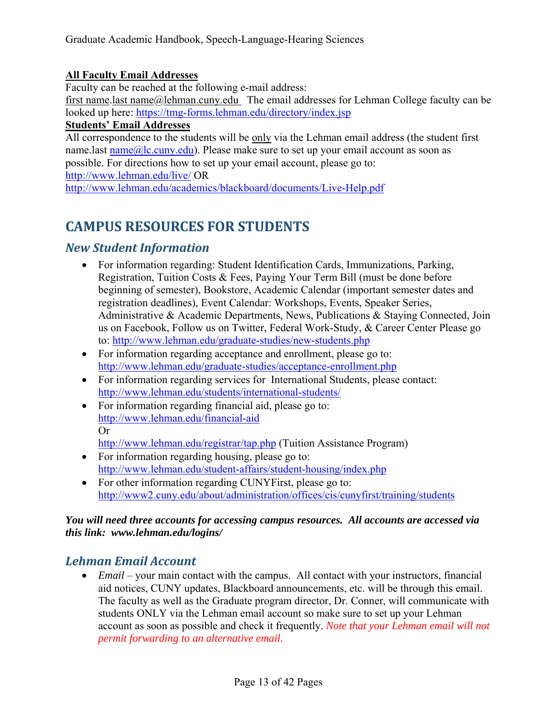#### **All Faculty Email Addresses**

Faculty can be reached at the following e-mail address:

first name.last name@lehman.cuny.edu The email addresses for Lehman College faculty can be looked up here: https://tmg-forms.lehman.edu/directory/index.jsp

#### **Students' Email Addresses**

All correspondence to the students will be only via the Lehman email address (the student first name.last  $name@lc.cuny.edu$ ). Please make sure to set up your email account as soon as possible. For directions how to set up your email account, please go to: http://www.lehman.edu/live/ OR

http://www.lehman.edu/academics/blackboard/documents/Live-Help.pdf

# **CAMPUS RESOURCES FOR STUDENTS**

# *New Student Information*

- For information regarding: Student Identification Cards, Immunizations, Parking, Registration, Tuition Costs & Fees, Paying Your Term Bill (must be done before beginning of semester), Bookstore, Academic Calendar (important semester dates and registration deadlines), Event Calendar: Workshops, Events, Speaker Series, Administrative & Academic Departments, News, Publications & Staying Connected, Join us on Facebook, Follow us on Twitter, Federal Work-Study, & Career Center Please go to: http://www.lehman.edu/graduate-studies/new-students.php
- For information regarding acceptance and enrollment, please go to: http://www.lehman.edu/graduate-studies/acceptance-enrollment.php
- For information regarding services for International Students, please contact: http://www.lehman.edu/students/international-students/
- For information regarding financial aid, please go to: http://www.lehman.edu/financial-aid Or

http://www.lehman.edu/registrar/tap.php (Tuition Assistance Program)

- For information regarding housing, please go to: http://www.lehman.edu/student-affairs/student-housing/index.php
- For other information regarding CUNYFirst, please go to: http://www2.cuny.edu/about/administration/offices/cis/cunyfirst/training/students

#### *You will need three accounts for accessing campus resources. All accounts are accessed via this link: www.lehman.edu/logins/*

## *Lehman Email Account*

 *Email* – your main contact with the campus. All contact with your instructors, financial aid notices, CUNY updates, Blackboard announcements, etc. will be through this email. The faculty as well as the Graduate program director, Dr. Conner, will communicate with students ONLY via the Lehman email account so make sure to set up your Lehman account as soon as possible and check it frequently. *Note that your Lehman email will not permit forwarding to an alternative email.*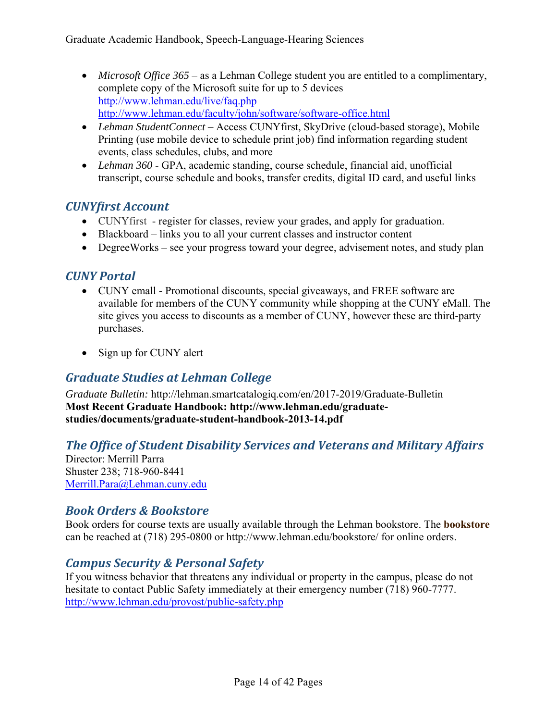- *Microsoft Office 365*  as a Lehman College student you are entitled to a complimentary, complete copy of the Microsoft suite for up to 5 devices http://www.lehman.edu/live/faq.php http://www.lehman.edu/faculty/john/software/software-office.html
- *Lehman StudentConnect* Access CUNYfirst, SkyDrive (cloud-based storage), Mobile Printing (use mobile device to schedule print job) find information regarding student events, class schedules, clubs, and more
- *Lehman 360* GPA, academic standing, course schedule, financial aid, unofficial transcript, course schedule and books, transfer credits, digital ID card, and useful links

# *CUNYfirst Account*

- CUNYfirst register for classes, review your grades, and apply for graduation.
- Blackboard links you to all your current classes and instructor content
- DegreeWorks see your progress toward your degree, advisement notes, and study plan

# *CUNY Portal*

- CUNY emall Promotional discounts, special giveaways, and FREE software are available for members of the CUNY community while shopping at the CUNY eMall. The site gives you access to discounts as a member of CUNY, however these are third-party purchases.
- Sign up for CUNY alert

# *Graduate Studies at Lehman College*

*Graduate Bulletin:* http://lehman.smartcatalogiq.com/en/2017-2019/Graduate-Bulletin **Most Recent Graduate Handbook: http://www.lehman.edu/graduatestudies/documents/graduate-student-handbook-2013-14.pdf** 

# *The Office of Student Disability Services and Veterans and Military Affairs*

Director: Merrill Parra Shuster 238; 718-960-8441 Merrill.Para@Lehman.cuny.edu

## *Book Orders & Bookstore*

Book orders for course texts are usually available through the Lehman bookstore. The **bookstore** can be reached at (718) 295-0800 or http://www.lehman.edu/bookstore/ for online orders.

# *Campus Security & Personal Safety*

If you witness behavior that threatens any individual or property in the campus, please do not hesitate to contact Public Safety immediately at their emergency number (718) 960-7777. http://www.lehman.edu/provost/public-safety.php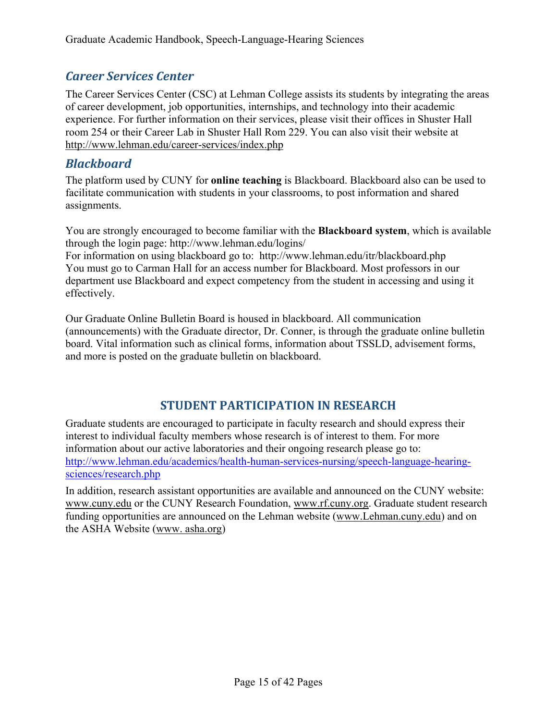# *Career Services Center*

The Career Services Center (CSC) at Lehman College assists its students by integrating the areas of career development, job opportunities, internships, and technology into their academic experience. For further information on their services, please visit their offices in Shuster Hall room 254 or their Career Lab in Shuster Hall Rom 229. You can also visit their website at http://www.lehman.edu/career-services/index.php

## *Blackboard*

The platform used by CUNY for **online teaching** is Blackboard. Blackboard also can be used to facilitate communication with students in your classrooms, to post information and shared assignments.

You are strongly encouraged to become familiar with the **Blackboard system**, which is available through the login page: http://www.lehman.edu/logins/

For information on using blackboard go to: http://www.lehman.edu/itr/blackboard.php You must go to Carman Hall for an access number for Blackboard. Most professors in our department use Blackboard and expect competency from the student in accessing and using it effectively.

Our Graduate Online Bulletin Board is housed in blackboard. All communication (announcements) with the Graduate director, Dr. Conner, is through the graduate online bulletin board. Vital information such as clinical forms, information about TSSLD, advisement forms, and more is posted on the graduate bulletin on blackboard.

## **STUDENT PARTICIPATION IN RESEARCH**

Graduate students are encouraged to participate in faculty research and should express their interest to individual faculty members whose research is of interest to them. For more information about our active laboratories and their ongoing research please go to: http://www.lehman.edu/academics/health-human-services-nursing/speech-language-hearingsciences/research.php

In addition, research assistant opportunities are available and announced on the CUNY website: www.cuny.edu or the CUNY Research Foundation, www.rf.cuny.org. Graduate student research funding opportunities are announced on the Lehman website (www.Lehman.cuny.edu) and on the ASHA Website (www. asha.org)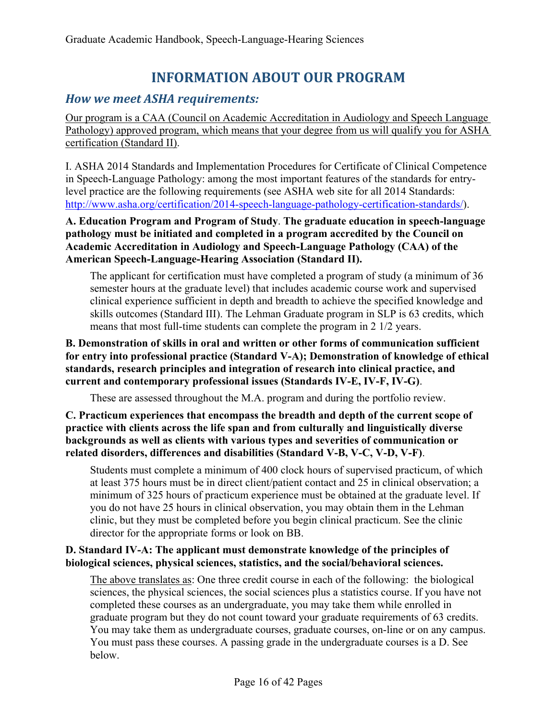# **INFORMATION ABOUT OUR PROGRAM**

# *How we meet ASHA requirements:*

Our program is a CAA (Council on Academic Accreditation in Audiology and Speech Language Pathology) approved program, which means that your degree from us will qualify you for ASHA certification (Standard II).

I. ASHA 2014 Standards and Implementation Procedures for Certificate of Clinical Competence in Speech-Language Pathology: among the most important features of the standards for entrylevel practice are the following requirements (see ASHA web site for all 2014 Standards: http://www.asha.org/certification/2014-speech-language-pathology-certification-standards/).

**A. Education Program and Program of Study**. **The graduate education in speech-language pathology must be initiated and completed in a program accredited by the Council on Academic Accreditation in Audiology and Speech-Language Pathology (CAA) of the American Speech-Language-Hearing Association (Standard II).** 

The applicant for certification must have completed a program of study (a minimum of 36 semester hours at the graduate level) that includes academic course work and supervised clinical experience sufficient in depth and breadth to achieve the specified knowledge and skills outcomes (Standard III). The Lehman Graduate program in SLP is 63 credits, which means that most full-time students can complete the program in 2 1/2 years.

#### **B. Demonstration of skills in oral and written or other forms of communication sufficient for entry into professional practice (Standard V-A); Demonstration of knowledge of ethical standards, research principles and integration of research into clinical practice, and current and contemporary professional issues (Standards IV-E, IV-F, IV-G)**.

These are assessed throughout the M.A. program and during the portfolio review.

**C. Practicum experiences that encompass the breadth and depth of the current scope of practice with clients across the life span and from culturally and linguistically diverse backgrounds as well as clients with various types and severities of communication or related disorders, differences and disabilities (Standard V-B, V-C, V-D, V-F)**.

Students must complete a minimum of 400 clock hours of supervised practicum, of which at least 375 hours must be in direct client/patient contact and 25 in clinical observation; a minimum of 325 hours of practicum experience must be obtained at the graduate level. If you do not have 25 hours in clinical observation, you may obtain them in the Lehman clinic, but they must be completed before you begin clinical practicum. See the clinic director for the appropriate forms or look on BB.

#### **D. Standard IV-A: The applicant must demonstrate knowledge of the principles of biological sciences, physical sciences, statistics, and the social/behavioral sciences.**

The above translates as: One three credit course in each of the following: the biological sciences, the physical sciences, the social sciences plus a statistics course. If you have not completed these courses as an undergraduate, you may take them while enrolled in graduate program but they do not count toward your graduate requirements of 63 credits. You may take them as undergraduate courses, graduate courses, on-line or on any campus. You must pass these courses. A passing grade in the undergraduate courses is a D. See below.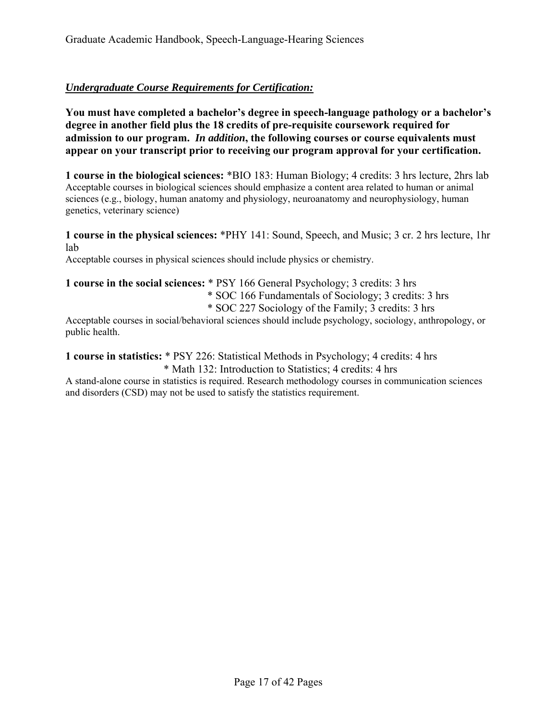#### *Undergraduate Course Requirements for Certification:*

**You must have completed a bachelor's degree in speech-language pathology or a bachelor's degree in another field plus the 18 credits of pre-requisite coursework required for admission to our program.** *In addition***, the following courses or course equivalents must appear on your transcript prior to receiving our program approval for your certification.** 

**1 course in the biological sciences:** \*BIO 183: Human Biology; 4 credits: 3 hrs lecture, 2hrs lab Acceptable courses in biological sciences should emphasize a content area related to human or animal sciences (e.g., biology, human anatomy and physiology, neuroanatomy and neurophysiology, human genetics, veterinary science)

**1 course in the physical sciences:** \*PHY 141: Sound, Speech, and Music; 3 cr. 2 hrs lecture, 1hr lab

Acceptable courses in physical sciences should include physics or chemistry.

#### **1 course in the social sciences:** \* PSY 166 General Psychology; 3 credits: 3 hrs \* SOC 166 Fundamentals of Sociology; 3 credits: 3 hrs

\* SOC 227 Sociology of the Family; 3 credits: 3 hrs

Acceptable courses in social/behavioral sciences should include psychology, sociology, anthropology, or public health.

**1 course in statistics:** \* PSY 226: Statistical Methods in Psychology; 4 credits: 4 hrs

\* Math 132: Introduction to Statistics; 4 credits: 4 hrs

A stand-alone course in statistics is required. Research methodology courses in communication sciences and disorders (CSD) may not be used to satisfy the statistics requirement.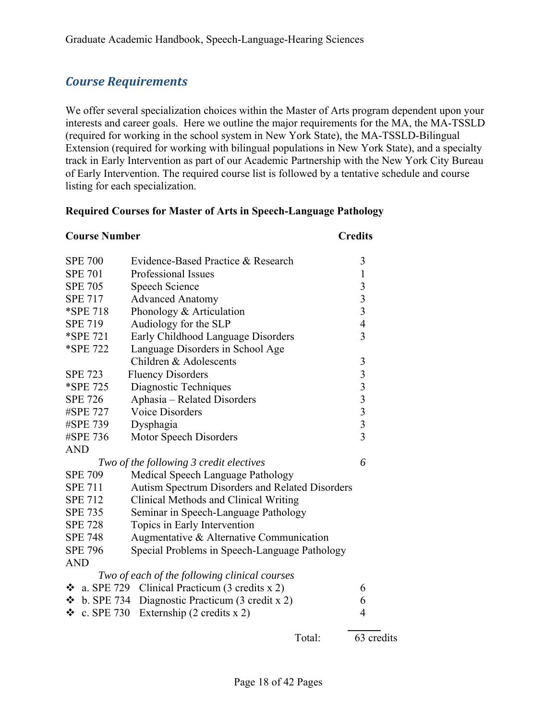# *Course Requirements*

We offer several specialization choices within the Master of Arts program dependent upon your interests and career goals. Here we outline the major requirements for the MA, the MA-TSSLD (required for working in the school system in New York State), the MA-TSSLD-Bilingual Extension (required for working with bilingual populations in New York State), and a specialty track in Early Intervention as part of our Academic Partnership with the New York City Bureau of Early Intervention. The required course list is followed by a tentative schedule and course listing for each specialization.

#### **Required Courses for Master of Arts in Speech-Language Pathology**

| <b>Course Number</b> |                                                      | <b>Credits</b>  |
|----------------------|------------------------------------------------------|-----------------|
| <b>SPE 700</b>       | Evidence-Based Practice & Research                   | 3               |
| <b>SPE 701</b>       | Professional Issues                                  | $\mathbf{1}$    |
| <b>SPE 705</b>       | Speech Science                                       |                 |
| <b>SPE 717</b>       | <b>Advanced Anatomy</b>                              | $\frac{3}{3}$   |
| *SPE 718             | Phonology & Articulation                             | $\frac{3}{4}$   |
| <b>SPE 719</b>       | Audiology for the SLP                                |                 |
| *SPE 721             | Early Childhood Language Disorders                   | $\overline{3}$  |
| *SPE 722             | Language Disorders in School Age                     |                 |
|                      | Children & Adolescents                               | $\mathfrak{Z}$  |
| <b>SPE 723</b>       | <b>Fluency Disorders</b>                             |                 |
| *SPE 725             | Diagnostic Techniques                                |                 |
| <b>SPE 726</b>       | Aphasia - Related Disorders                          |                 |
| #SPE 727             | <b>Voice Disorders</b>                               | $3333$<br>$333$ |
| #SPE 739             | Dysphagia                                            |                 |
| #SPE 736             | Motor Speech Disorders                               |                 |
| <b>AND</b>           |                                                      |                 |
|                      | Two of the following 3 credit electives              | 6               |
| <b>SPE 709</b>       | Medical Speech Language Pathology                    |                 |
| <b>SPE 711</b>       | Autism Spectrum Disorders and Related Disorders      |                 |
| <b>SPE 712</b>       | Clinical Methods and Clinical Writing                |                 |
| <b>SPE 735</b>       | Seminar in Speech-Language Pathology                 |                 |
| <b>SPE 728</b>       | Topics in Early Intervention                         |                 |
| <b>SPE 748</b>       | Augmentative & Alternative Communication             |                 |
| <b>SPE 796</b>       | Special Problems in Speech-Language Pathology        |                 |
| <b>AND</b>           |                                                      |                 |
|                      | Two of each of the following clinical courses        |                 |
|                      | $\div$ a. SPE 729 Clinical Practicum (3 credits x 2) | 6               |
| $\div$ b. SPE 734    | Diagnostic Practicum (3 credit x 2)                  | 6               |
| c. SPE 730<br>❖      | Externship $(2 \text{ credits } x 2)$                | 4               |
|                      |                                                      |                 |

| Total: | 63 credits |
|--------|------------|
|        |            |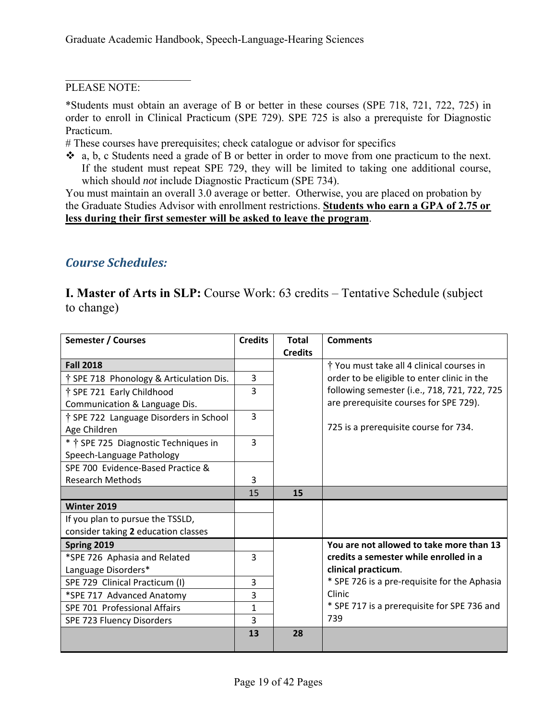#### PLEASE NOTE:

\*Students must obtain an average of B or better in these courses (SPE 718, 721, 722, 725) in order to enroll in Clinical Practicum (SPE 729). SPE 725 is also a prerequiste for Diagnostic Practicum.

# These courses have prerequisites; check catalogue or advisor for specifics

 a, b, c Students need a grade of B or better in order to move from one practicum to the next. If the student must repeat SPE 729, they will be limited to taking one additional course, which should *not* include Diagnostic Practicum (SPE 734).

You must maintain an overall 3.0 average or better. Otherwise, you are placed on probation by the Graduate Studies Advisor with enrollment restrictions. **Students who earn a GPA of 2.75 or less during their first semester will be asked to leave the program**.

## *Course Schedules:*

**I. Master of Arts in SLP:** Course Work: 63 credits – Tentative Schedule (subject to change)

| <b>Semester / Courses</b>                          | <b>Credits</b> | <b>Total</b><br><b>Credits</b> | <b>Comments</b>                              |
|----------------------------------------------------|----------------|--------------------------------|----------------------------------------------|
| <b>Fall 2018</b>                                   |                |                                | † You must take all 4 clinical courses in    |
| <sup>†</sup> SPE 718 Phonology & Articulation Dis. | 3              |                                | order to be eligible to enter clinic in the  |
| † SPE 721 Early Childhood                          | 3              |                                | following semester (i.e., 718, 721, 722, 725 |
| Communication & Language Dis.                      |                |                                | are prerequisite courses for SPE 729).       |
| † SPE 722 Language Disorders in School             | 3              |                                |                                              |
| Age Children                                       |                |                                | 725 is a prerequisite course for 734.        |
| * † SPE 725 Diagnostic Techniques in               | 3              |                                |                                              |
| Speech-Language Pathology                          |                |                                |                                              |
| SPE 700 Evidence-Based Practice &                  |                |                                |                                              |
| <b>Research Methods</b>                            | 3              |                                |                                              |
|                                                    | 15             | 15                             |                                              |
| Winter 2019                                        |                |                                |                                              |
| If you plan to pursue the TSSLD,                   |                |                                |                                              |
| consider taking 2 education classes                |                |                                |                                              |
| Spring 2019                                        |                |                                | You are not allowed to take more than 13     |
| *SPE 726 Aphasia and Related                       | 3              |                                | credits a semester while enrolled in a       |
| Language Disorders*                                |                |                                | clinical practicum.                          |
| SPE 729 Clinical Practicum (I)                     | 3              |                                | * SPE 726 is a pre-requisite for the Aphasia |
| *SPE 717 Advanced Anatomy                          | 3              |                                | Clinic                                       |
| SPE 701 Professional Affairs                       | 1              |                                | * SPE 717 is a prerequisite for SPE 736 and  |
| SPE 723 Fluency Disorders                          | 3              |                                | 739                                          |
|                                                    | 13             | 28                             |                                              |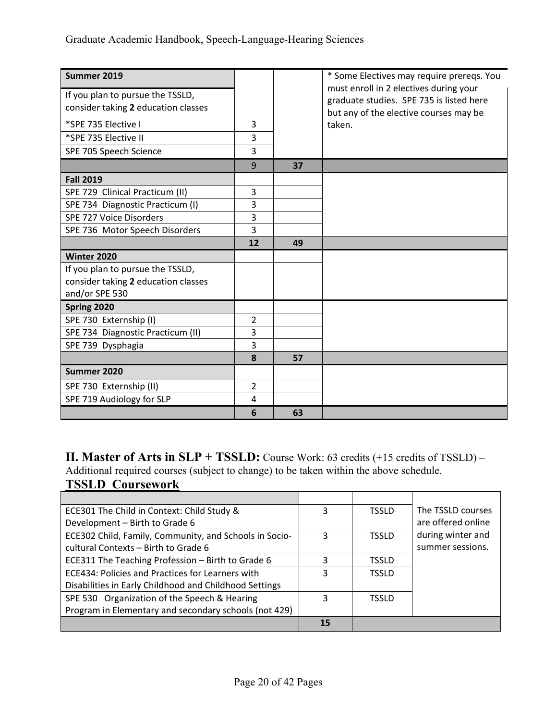| Summer 2019<br>If you plan to pursue the TSSLD,<br>consider taking 2 education classes<br>*SPE 735 Elective I<br>*SPE 735 Elective II<br>SPE 705 Speech Science | 3<br>3<br>3    |    | * Some Electives may require prereqs. You<br>must enroll in 2 electives during your<br>graduate studies. SPE 735 is listed here<br>but any of the elective courses may be<br>taken. |
|-----------------------------------------------------------------------------------------------------------------------------------------------------------------|----------------|----|-------------------------------------------------------------------------------------------------------------------------------------------------------------------------------------|
|                                                                                                                                                                 | 9              | 37 |                                                                                                                                                                                     |
| <b>Fall 2019</b>                                                                                                                                                |                |    |                                                                                                                                                                                     |
| SPE 729 Clinical Practicum (II)                                                                                                                                 | 3              |    |                                                                                                                                                                                     |
| SPE 734 Diagnostic Practicum (I)                                                                                                                                | 3              |    |                                                                                                                                                                                     |
| SPE 727 Voice Disorders                                                                                                                                         | 3              |    |                                                                                                                                                                                     |
| SPE 736 Motor Speech Disorders                                                                                                                                  | 3              |    |                                                                                                                                                                                     |
|                                                                                                                                                                 | 12             | 49 |                                                                                                                                                                                     |
| Winter 2020                                                                                                                                                     |                |    |                                                                                                                                                                                     |
| If you plan to pursue the TSSLD,                                                                                                                                |                |    |                                                                                                                                                                                     |
| consider taking 2 education classes                                                                                                                             |                |    |                                                                                                                                                                                     |
| and/or SPE 530                                                                                                                                                  |                |    |                                                                                                                                                                                     |
| Spring 2020                                                                                                                                                     |                |    |                                                                                                                                                                                     |
| SPE 730 Externship (I)                                                                                                                                          | $\overline{2}$ |    |                                                                                                                                                                                     |
| SPE 734 Diagnostic Practicum (II)                                                                                                                               | 3              |    |                                                                                                                                                                                     |
| SPE 739 Dysphagia                                                                                                                                               | 3              |    |                                                                                                                                                                                     |
|                                                                                                                                                                 | 8              | 57 |                                                                                                                                                                                     |
| Summer 2020                                                                                                                                                     |                |    |                                                                                                                                                                                     |
| SPE 730 Externship (II)                                                                                                                                         | 2              |    |                                                                                                                                                                                     |
| SPE 719 Audiology for SLP                                                                                                                                       | 4              |    |                                                                                                                                                                                     |
|                                                                                                                                                                 | 6              | 63 |                                                                                                                                                                                     |

**II. Master of Arts in SLP + TSSLD:** Course Work: 63 credits (+15 credits of TSSLD) – Additional required courses (subject to change) to be taken within the above schedule.

#### **TSSLD Coursework**

| ECE301 The Child in Context: Child Study &             | 3  | <b>TSSLD</b> | The TSSLD courses  |
|--------------------------------------------------------|----|--------------|--------------------|
| Development - Birth to Grade 6                         |    |              | are offered online |
| ECE302 Child, Family, Community, and Schools in Socio- | 3  | <b>TSSLD</b> | during winter and  |
| cultural Contexts - Birth to Grade 6                   |    |              | summer sessions.   |
| ECE311 The Teaching Profession - Birth to Grade 6      | 3  | <b>TSSLD</b> |                    |
| ECE434: Policies and Practices for Learners with       | 3  | <b>TSSLD</b> |                    |
| Disabilities in Early Childhood and Childhood Settings |    |              |                    |
| SPE 530 Organization of the Speech & Hearing           | 3  | <b>TSSLD</b> |                    |
| Program in Elementary and secondary schools (not 429)  |    |              |                    |
|                                                        | 15 |              |                    |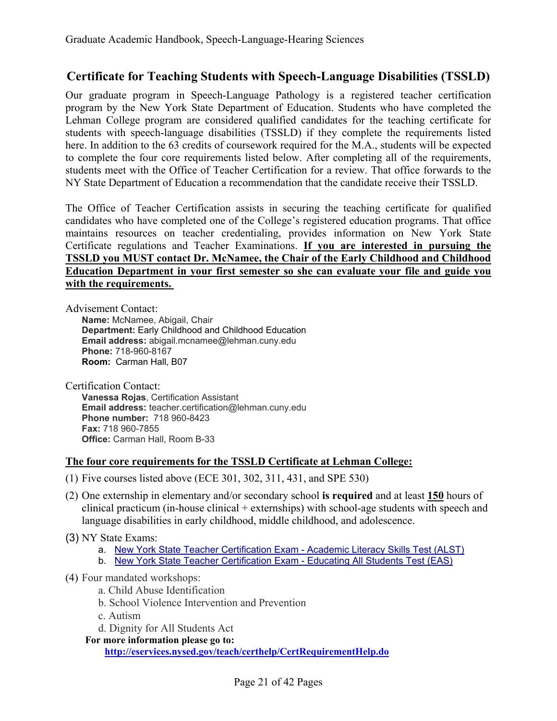## **Certificate for Teaching Students with Speech-Language Disabilities (TSSLD)**

Our graduate program in Speech-Language Pathology is a registered teacher certification program by the New York State Department of Education. Students who have completed the Lehman College program are considered qualified candidates for the teaching certificate for students with speech-language disabilities (TSSLD) if they complete the requirements listed here. In addition to the 63 credits of coursework required for the M.A., students will be expected to complete the four core requirements listed below. After completing all of the requirements, students meet with the Office of Teacher Certification for a review. That office forwards to the NY State Department of Education a recommendation that the candidate receive their TSSLD.

The Office of Teacher Certification assists in securing the teaching certificate for qualified candidates who have completed one of the College's registered education programs. That office maintains resources on teacher credentialing, provides information on New York State Certificate regulations and Teacher Examinations. **If you are interested in pursuing the TSSLD you MUST contact Dr. McNamee, the Chair of the Early Childhood and Childhood Education Department in your first semester so she can evaluate your file and guide you with the requirements.** 

Advisement Contact: **Name:** McNamee, Abigail, Chair **Department:** Early Childhood and Childhood Education **Email address:** abigail.mcnamee@lehman.cuny.edu **Phone:** 718-960-8167 **Room:** Carman Hall, B07

Certification Contact: **Vanessa Rojas**, Certification Assistant **Email address:** teacher.certification@lehman.cuny.edu **Phone number:** 718 960-8423 **Fax:** 718 960-7855 **Office:** Carman Hall, Room B-33

#### **The four core requirements for the TSSLD Certificate at Lehman College:**

- (1) Five courses listed above (ECE 301, 302, 311, 431, and SPE 530)
- (2) One externship in elementary and/or secondary school **is required** and at least **150** hours of clinical practicum (in-house clinical + externships) with school-age students with speech and language disabilities in early childhood, middle childhood, and adolescence.
- (3) NY State Exams:
	- a. New York State Teacher Certification Exam Academic Literacy Skills Test (ALST)
	- b. New York State Teacher Certification Exam Educating All Students Test (EAS)
- (4) Four mandated workshops:
	- a. Child Abuse Identification
	- b. School Violence Intervention and Prevention
	- c. Autism
	- d. Dignity for All Students Act

**For more information please go to:** 

**http://eservices.nysed.gov/teach/certhelp/CertRequirementHelp.do**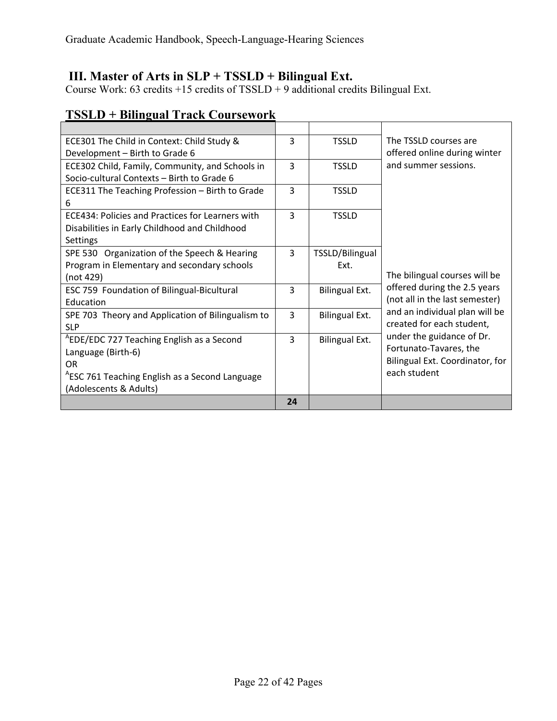## **III. Master of Arts in SLP + TSSLD + Bilingual Ext.**

Course Work: 63 credits  $+15$  credits of TSSLD  $+9$  additional credits Bilingual Ext.

| ECE301 The Child in Context: Child Study &                 | 3  | <b>TSSLD</b>    | The TSSLD courses are           |
|------------------------------------------------------------|----|-----------------|---------------------------------|
| Development - Birth to Grade 6                             |    |                 | offered online during winter    |
| ECE302 Child, Family, Community, and Schools in            | 3  | <b>TSSLD</b>    | and summer sessions.            |
| Socio-cultural Contexts - Birth to Grade 6                 |    |                 |                                 |
| ECE311 The Teaching Profession - Birth to Grade            | 3  | <b>TSSLD</b>    |                                 |
| h                                                          |    |                 |                                 |
| ECE434: Policies and Practices for Learners with           | 3  | <b>TSSLD</b>    |                                 |
| Disabilities in Early Childhood and Childhood              |    |                 |                                 |
| <b>Settings</b>                                            |    |                 |                                 |
| SPE 530 Organization of the Speech & Hearing               | 3  | TSSLD/Bilingual |                                 |
| Program in Elementary and secondary schools                |    | Ext.            |                                 |
| (not 429)                                                  |    |                 | The bilingual courses will be   |
| ESC 759 Foundation of Bilingual-Bicultural                 | 3  | Bilingual Ext.  | offered during the 2.5 years    |
| Education                                                  |    |                 | (not all in the last semester)  |
| SPE 703 Theory and Application of Bilingualism to          | 3  | Bilingual Ext.  | and an individual plan will be  |
| <b>SLP</b>                                                 |    |                 | created for each student,       |
| <sup>A</sup> EDE/EDC 727 Teaching English as a Second      | 3  | Bilingual Ext.  | under the guidance of Dr.       |
| Language (Birth-6)                                         |    |                 | Fortunato-Tavares, the          |
| OR.                                                        |    |                 | Bilingual Ext. Coordinator, for |
| <sup>A</sup> ESC 761 Teaching English as a Second Language |    |                 | each student                    |
| (Adolescents & Adults)                                     |    |                 |                                 |
|                                                            | 24 |                 |                                 |

# **TSSLD + Bilingual Track Coursework**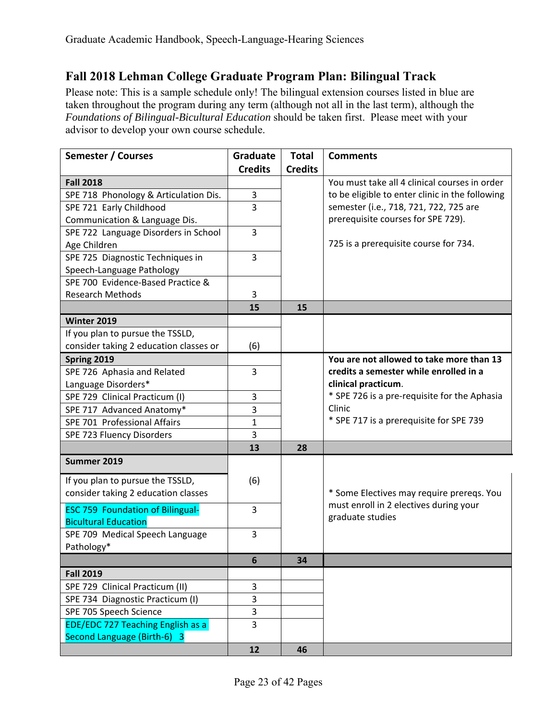# **Fall 2018 Lehman College Graduate Program Plan: Bilingual Track**

Please note: This is a sample schedule only! The bilingual extension courses listed in blue are taken throughout the program during any term (although not all in the last term), although the *Foundations of Bilingual-Bicultural Education* should be taken first. Please meet with your advisor to develop your own course schedule.

| <b>Semester / Courses</b>                                               | Graduate       | <b>Total</b>   | <b>Comments</b>                                 |
|-------------------------------------------------------------------------|----------------|----------------|-------------------------------------------------|
|                                                                         | <b>Credits</b> | <b>Credits</b> |                                                 |
| <b>Fall 2018</b>                                                        |                |                | You must take all 4 clinical courses in order   |
| SPE 718 Phonology & Articulation Dis.                                   | 3              |                | to be eligible to enter clinic in the following |
| SPE 721 Early Childhood                                                 | 3              |                | semester (i.e., 718, 721, 722, 725 are          |
| Communication & Language Dis.                                           |                |                | prerequisite courses for SPE 729).              |
| SPE 722 Language Disorders in School                                    | 3              |                |                                                 |
| Age Children                                                            |                |                | 725 is a prerequisite course for 734.           |
| SPE 725 Diagnostic Techniques in                                        | 3              |                |                                                 |
| Speech-Language Pathology                                               |                |                |                                                 |
| SPE 700 Evidence-Based Practice &                                       |                |                |                                                 |
| <b>Research Methods</b>                                                 | 3              |                |                                                 |
|                                                                         | 15             | 15             |                                                 |
| <b>Winter 2019</b>                                                      |                |                |                                                 |
| If you plan to pursue the TSSLD,                                        |                |                |                                                 |
| consider taking 2 education classes or                                  | (6)            |                |                                                 |
| Spring 2019                                                             |                |                | You are not allowed to take more than 13        |
| SPE 726 Aphasia and Related                                             | 3              |                | credits a semester while enrolled in a          |
| Language Disorders*                                                     |                |                | clinical practicum.                             |
| SPE 729 Clinical Practicum (I)                                          | 3              |                | * SPE 726 is a pre-requisite for the Aphasia    |
| SPE 717 Advanced Anatomy*                                               | 3              |                | Clinic                                          |
| SPE 701 Professional Affairs                                            | 1              |                | * SPE 717 is a prerequisite for SPE 739         |
| SPE 723 Fluency Disorders                                               | 3              |                |                                                 |
|                                                                         | 13             | 28             |                                                 |
| Summer 2019                                                             |                |                |                                                 |
| If you plan to pursue the TSSLD,                                        | (6)            |                |                                                 |
| consider taking 2 education classes                                     |                |                | * Some Electives may require prereqs. You       |
|                                                                         |                |                | must enroll in 2 electives during your          |
| <b>ESC 759 Foundation of Bilingual-</b>                                 | 3              |                | graduate studies                                |
| <b>Bicultural Education</b>                                             | 3              |                |                                                 |
| SPE 709 Medical Speech Language                                         |                |                |                                                 |
| Pathology*                                                              |                |                |                                                 |
|                                                                         | 6              | 34             |                                                 |
| <b>Fall 2019</b>                                                        |                |                |                                                 |
| SPE 729 Clinical Practicum (II)                                         | 3              |                |                                                 |
| SPE 734 Diagnostic Practicum (I)                                        | $\overline{3}$ |                |                                                 |
| SPE 705 Speech Science                                                  | 3              |                |                                                 |
| <b>EDE/EDC 727 Teaching English as a</b><br>Second Language (Birth-6) 3 | $\overline{3}$ |                |                                                 |
|                                                                         | 12             | 46             |                                                 |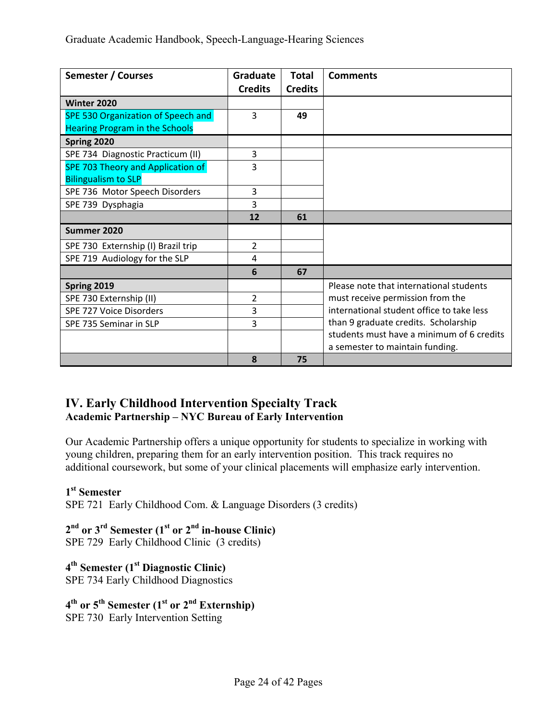| Semester / Courses                       | Graduate<br><b>Credits</b> | <b>Total</b><br><b>Credits</b> | <b>Comments</b>                           |
|------------------------------------------|----------------------------|--------------------------------|-------------------------------------------|
| Winter 2020                              |                            |                                |                                           |
| SPE 530 Organization of Speech and       | 3                          | 49                             |                                           |
| <b>Hearing Program in the Schools</b>    |                            |                                |                                           |
| Spring 2020                              |                            |                                |                                           |
| SPE 734 Diagnostic Practicum (II)        | 3                          |                                |                                           |
| <b>SPE 703 Theory and Application of</b> | 3                          |                                |                                           |
| <b>Bilingualism to SLP</b>               |                            |                                |                                           |
| SPE 736 Motor Speech Disorders           | 3                          |                                |                                           |
| SPE 739 Dysphagia                        | 3                          |                                |                                           |
|                                          | 12                         | 61                             |                                           |
| Summer 2020                              |                            |                                |                                           |
| SPE 730 Externship (I) Brazil trip       | $\overline{2}$             |                                |                                           |
| SPE 719 Audiology for the SLP            | 4                          |                                |                                           |
|                                          | 6                          | 67                             |                                           |
| Spring 2019                              |                            |                                | Please note that international students   |
| SPE 730 Externship (II)                  | $\overline{2}$             |                                | must receive permission from the          |
| SPE 727 Voice Disorders                  | 3                          |                                | international student office to take less |
| SPE 735 Seminar in SLP                   | 3                          |                                | than 9 graduate credits. Scholarship      |
|                                          |                            |                                | students must have a minimum of 6 credits |
|                                          |                            |                                | a semester to maintain funding.           |
|                                          | 8                          | 75                             |                                           |

## **IV. Early Childhood Intervention Specialty Track Academic Partnership – NYC Bureau of Early Intervention**

Our Academic Partnership offers a unique opportunity for students to specialize in working with young children, preparing them for an early intervention position. This track requires no additional coursework, but some of your clinical placements will emphasize early intervention.

#### **1st Semester**

SPE 721 Early Childhood Com. & Language Disorders (3 credits)

# 2<sup>nd</sup> or 3<sup>rd</sup> Semester (1<sup>st</sup> or 2<sup>nd</sup> in-house Clinic)

SPE 729 Early Childhood Clinic (3 credits)

# **4th Semester (1st Diagnostic Clinic)**  SPE 734 Early Childhood Diagnostics

#### **4th or 5th Semester (1st or 2nd Externship)**  SPE 730 Early Intervention Setting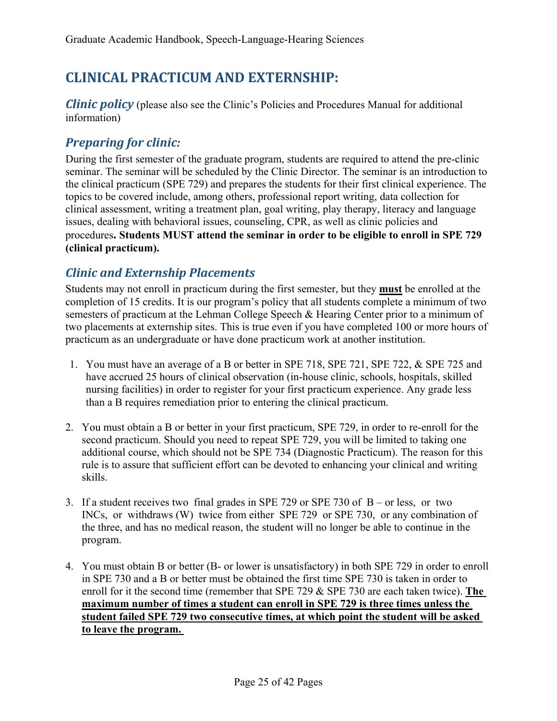# **CLINICAL PRACTICUM AND EXTERNSHIP:**

*Clinic policy* (please also see the Clinic's Policies and Procedures Manual for additional information)

# **Preparing** for *clinic:*

During the first semester of the graduate program, students are required to attend the pre-clinic seminar. The seminar will be scheduled by the Clinic Director. The seminar is an introduction to the clinical practicum (SPE 729) and prepares the students for their first clinical experience. The topics to be covered include, among others, professional report writing, data collection for clinical assessment, writing a treatment plan, goal writing, play therapy, literacy and language issues, dealing with behavioral issues, counseling, CPR, as well as clinic policies and procedures**. Students MUST attend the seminar in order to be eligible to enroll in SPE 729 (clinical practicum).** 

# *Clinic and Externship Placements*

Students may not enroll in practicum during the first semester, but they **must** be enrolled at the completion of 15 credits. It is our program's policy that all students complete a minimum of two semesters of practicum at the Lehman College Speech & Hearing Center prior to a minimum of two placements at externship sites. This is true even if you have completed 100 or more hours of practicum as an undergraduate or have done practicum work at another institution.

- 1. You must have an average of a B or better in SPE 718, SPE 721, SPE 722, & SPE 725 and have accrued 25 hours of clinical observation (in-house clinic, schools, hospitals, skilled nursing facilities) in order to register for your first practicum experience. Any grade less than a B requires remediation prior to entering the clinical practicum.
- 2. You must obtain a B or better in your first practicum, SPE 729, in order to re-enroll for the second practicum. Should you need to repeat SPE 729, you will be limited to taking one additional course, which should not be SPE 734 (Diagnostic Practicum). The reason for this rule is to assure that sufficient effort can be devoted to enhancing your clinical and writing skills.
- 3. If a student receives two final grades in SPE 729 or SPE 730 of B or less, or two INCs, or withdraws (W) twice from either SPE 729 or SPE 730, or any combination of the three, and has no medical reason, the student will no longer be able to continue in the program.
- 4. You must obtain B or better (B- or lower is unsatisfactory) in both SPE 729 in order to enroll in SPE 730 and a B or better must be obtained the first time SPE 730 is taken in order to enroll for it the second time (remember that SPE 729 & SPE 730 are each taken twice). **The maximum number of times a student can enroll in SPE 729 is three times unless the student failed SPE 729 two consecutive times, at which point the student will be asked to leave the program.**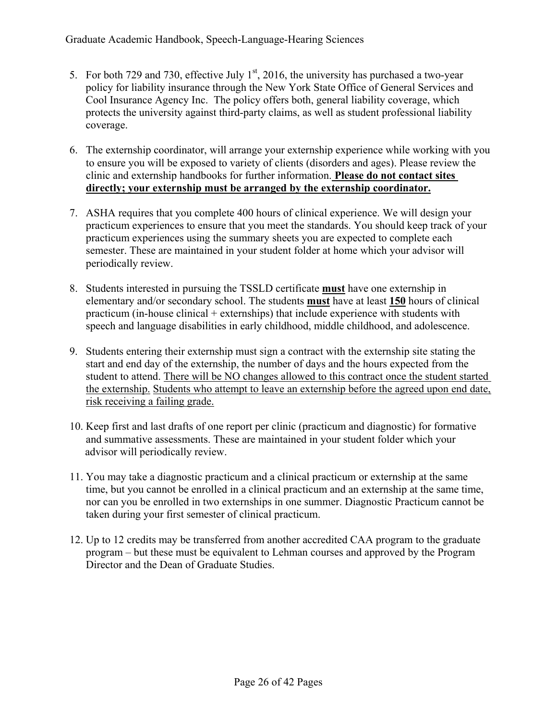- 5. For both 729 and 730, effective July  $1<sup>st</sup>$ , 2016, the university has purchased a two-year policy for liability insurance through the New York State Office of General Services and Cool Insurance Agency Inc. The policy offers both, general liability coverage, which protects the university against third-party claims, as well as student professional liability coverage.
- 6. The externship coordinator, will arrange your externship experience while working with you to ensure you will be exposed to variety of clients (disorders and ages). Please review the clinic and externship handbooks for further information. **Please do not contact sites directly; your externship must be arranged by the externship coordinator.**
- 7. ASHA requires that you complete 400 hours of clinical experience. We will design your practicum experiences to ensure that you meet the standards. You should keep track of your practicum experiences using the summary sheets you are expected to complete each semester. These are maintained in your student folder at home which your advisor will periodically review.
- 8. Students interested in pursuing the TSSLD certificate **must** have one externship in elementary and/or secondary school. The students **must** have at least **150** hours of clinical practicum (in-house clinical + externships) that include experience with students with speech and language disabilities in early childhood, middle childhood, and adolescence.
- 9. Students entering their externship must sign a contract with the externship site stating the start and end day of the externship, the number of days and the hours expected from the student to attend. There will be NO changes allowed to this contract once the student started the externship. Students who attempt to leave an externship before the agreed upon end date, risk receiving a failing grade.
- 10. Keep first and last drafts of one report per clinic (practicum and diagnostic) for formative and summative assessments. These are maintained in your student folder which your advisor will periodically review.
- 11. You may take a diagnostic practicum and a clinical practicum or externship at the same time, but you cannot be enrolled in a clinical practicum and an externship at the same time, nor can you be enrolled in two externships in one summer. Diagnostic Practicum cannot be taken during your first semester of clinical practicum.
- 12. Up to 12 credits may be transferred from another accredited CAA program to the graduate program – but these must be equivalent to Lehman courses and approved by the Program Director and the Dean of Graduate Studies.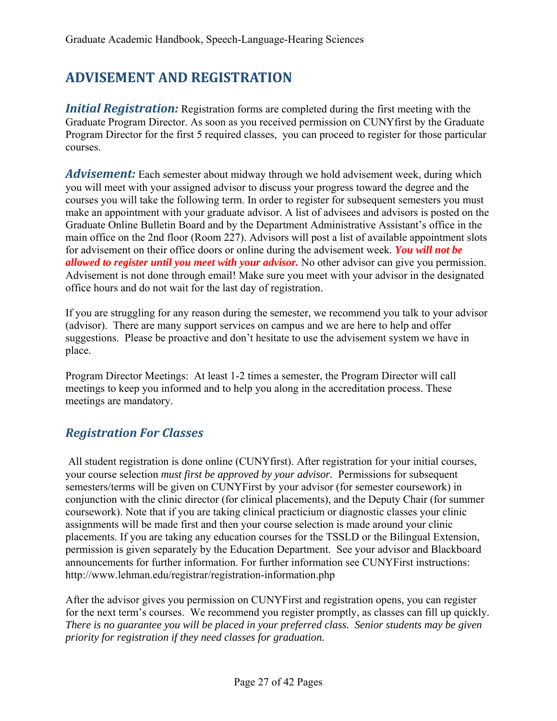# **ADVISEMENT AND REGISTRATION**

*Initial Registration:* Registration forms are completed during the first meeting with the Graduate Program Director. As soon as you received permission on CUNYfirst by the Graduate Program Director for the first 5 required classes, you can proceed to register for those particular courses.

*Advisement:* Each semester about midway through we hold advisement week, during which you will meet with your assigned advisor to discuss your progress toward the degree and the courses you will take the following term. In order to register for subsequent semesters you must make an appointment with your graduate advisor. A list of advisees and advisors is posted on the Graduate Online Bulletin Board and by the Department Administrative Assistant's office in the main office on the 2nd floor (Room 227). Advisors will post a list of available appointment slots for advisement on their office doors or online during the advisement week*. You will not be allowed to register until you meet with your advisor.* No other advisor can give you permission. Advisement is not done through email! Make sure you meet with your advisor in the designated office hours and do not wait for the last day of registration.

If you are struggling for any reason during the semester, we recommend you talk to your advisor (advisor). There are many support services on campus and we are here to help and offer suggestions. Please be proactive and don't hesitate to use the advisement system we have in place.

Program Director Meetings: At least 1-2 times a semester, the Program Director will call meetings to keep you informed and to help you along in the accreditation process. These meetings are mandatory.

# *Registration For Classes*

 All student registration is done online (CUNYfirst). After registration for your initial courses, your course selection *must first be approved by your advisor.* Permissions for subsequent semesters/terms will be given on CUNYFirst by your advisor (for semester coursework) in conjunction with the clinic director (for clinical placements), and the Deputy Chair (for summer coursework). Note that if you are taking clinical practicium or diagnostic classes your clinic assignments will be made first and then your course selection is made around your clinic placements. If you are taking any education courses for the TSSLD or the Bilingual Extension, permission is given separately by the Education Department. See your advisor and Blackboard announcements for further information. For further information see CUNYFirst instructions: http://www.lehman.edu/registrar/registration-information.php

After the advisor gives you permission on CUNYFirst and registration opens, you can register for the next term's courses. We recommend you register promptly, as classes can fill up quickly. *There is no guarantee you will be placed in your preferred class. Senior students may be given priority for registration if they need classes for graduation.*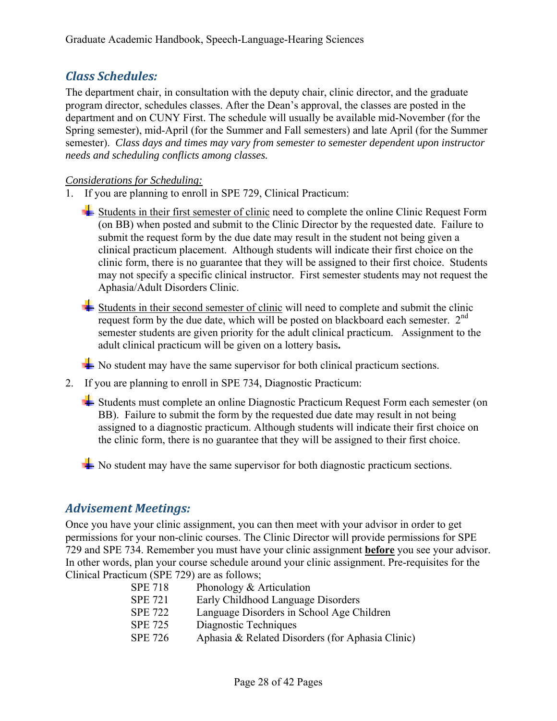# *Class Schedules:*

The department chair, in consultation with the deputy chair, clinic director, and the graduate program director, schedules classes. After the Dean's approval, the classes are posted in the department and on CUNY First. The schedule will usually be available mid-November (for the Spring semester), mid-April (for the Summer and Fall semesters) and late April (for the Summer semester). *Class days and times may vary from semester to semester dependent upon instructor needs and scheduling conflicts among classes.* 

#### *Considerations for Scheduling:*

1. If you are planning to enroll in SPE 729, Clinical Practicum:

Students in their first semester of clinic need to complete the online Clinic Request Form (on BB) when posted and submit to the Clinic Director by the requested date. Failure to submit the request form by the due date may result in the student not being given a clinical practicum placement. Although students will indicate their first choice on the clinic form, there is no guarantee that they will be assigned to their first choice. Students may not specify a specific clinical instructor. First semester students may not request the Aphasia/Adult Disorders Clinic.

- Students in their second semester of clinic will need to complete and submit the clinic request form by the due date, which will be posted on blackboard each semester.  $2^{nd}$ semester students are given priority for the adult clinical practicum. Assignment to the adult clinical practicum will be given on a lottery basis**.**
- $\blacktriangleright$  No student may have the same supervisor for both clinical practicum sections.
- 2. If you are planning to enroll in SPE 734, Diagnostic Practicum:
	- Students must complete an online Diagnostic Practicum Request Form each semester (on BB). Failure to submit the form by the requested due date may result in not being assigned to a diagnostic practicum. Although students will indicate their first choice on the clinic form, there is no guarantee that they will be assigned to their first choice.
	- $\blacktriangleright$  No student may have the same supervisor for both diagnostic practicum sections.

## *Advisement Meetings:*

Once you have your clinic assignment, you can then meet with your advisor in order to get permissions for your non-clinic courses. The Clinic Director will provide permissions for SPE 729 and SPE 734. Remember you must have your clinic assignment **before** you see your advisor. In other words, plan your course schedule around your clinic assignment. Pre-requisites for the Clinical Practicum (SPE 729) are as follows;

| <b>SPE 718</b> | Phonology & Articulation                         |
|----------------|--------------------------------------------------|
| <b>SPE 721</b> | Early Childhood Language Disorders               |
| <b>SPE 722</b> | Language Disorders in School Age Children        |
| <b>SPE 725</b> | Diagnostic Techniques                            |
| <b>SPE 726</b> | Aphasia & Related Disorders (for Aphasia Clinic) |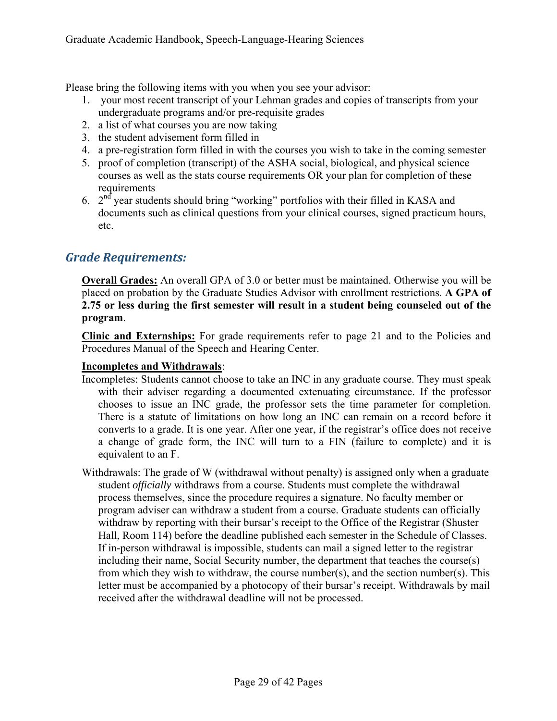Please bring the following items with you when you see your advisor:

- 1. your most recent transcript of your Lehman grades and copies of transcripts from your undergraduate programs and/or pre-requisite grades
- 2. a list of what courses you are now taking
- 3. the student advisement form filled in
- 4. a pre-registration form filled in with the courses you wish to take in the coming semester
- 5. proof of completion (transcript) of the ASHA social, biological, and physical science courses as well as the stats course requirements OR your plan for completion of these requirements
- 6.  $2<sup>nd</sup>$  year students should bring "working" portfolios with their filled in KASA and documents such as clinical questions from your clinical courses, signed practicum hours, etc.

# *Grade Requirements:*

**Overall Grades:** An overall GPA of 3.0 or better must be maintained. Otherwise you will be placed on probation by the Graduate Studies Advisor with enrollment restrictions. **A GPA of 2.75 or less during the first semester will result in a student being counseled out of the program**.

**Clinic and Externships:** For grade requirements refer to page 21 and to the Policies and Procedures Manual of the Speech and Hearing Center.

#### **Incompletes and Withdrawals**:

- Incompletes: Students cannot choose to take an INC in any graduate course. They must speak with their adviser regarding a documented extenuating circumstance. If the professor chooses to issue an INC grade, the professor sets the time parameter for completion. There is a statute of limitations on how long an INC can remain on a record before it converts to a grade. It is one year. After one year, if the registrar's office does not receive a change of grade form, the INC will turn to a FIN (failure to complete) and it is equivalent to an F.
- Withdrawals: The grade of W (withdrawal without penalty) is assigned only when a graduate student *officially* withdraws from a course. Students must complete the withdrawal process themselves, since the procedure requires a signature. No faculty member or program adviser can withdraw a student from a course. Graduate students can officially withdraw by reporting with their bursar's receipt to the Office of the Registrar (Shuster Hall, Room 114) before the deadline published each semester in the Schedule of Classes. If in-person withdrawal is impossible, students can mail a signed letter to the registrar including their name, Social Security number, the department that teaches the course(s) from which they wish to withdraw, the course number(s), and the section number(s). This letter must be accompanied by a photocopy of their bursar's receipt. Withdrawals by mail received after the withdrawal deadline will not be processed.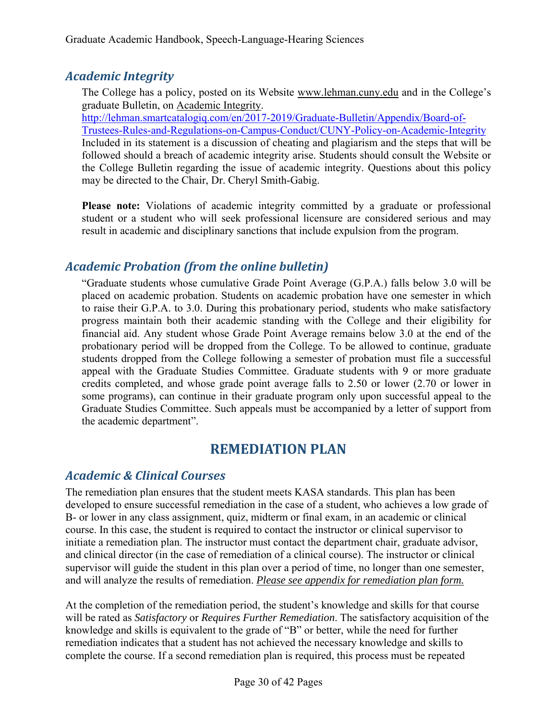# *Academic Integrity*

The College has a policy, posted on its Website www.lehman.cuny.edu and in the College's graduate Bulletin, on Academic Integrity.

http://lehman.smartcatalogiq.com/en/2017-2019/Graduate-Bulletin/Appendix/Board-of-Trustees-Rules-and-Regulations-on-Campus-Conduct/CUNY-Policy-on-Academic-Integrity Included in its statement is a discussion of cheating and plagiarism and the steps that will be followed should a breach of academic integrity arise. Students should consult the Website or the College Bulletin regarding the issue of academic integrity. Questions about this policy may be directed to the Chair, Dr. Cheryl Smith-Gabig.

**Please note:** Violations of academic integrity committed by a graduate or professional student or a student who will seek professional licensure are considered serious and may result in academic and disciplinary sanctions that include expulsion from the program.

# *Academic Probation (from the online bulletin)*

"Graduate students whose cumulative Grade Point Average (G.P.A.) falls below 3.0 will be placed on academic probation. Students on academic probation have one semester in which to raise their G.P.A. to 3.0. During this probationary period, students who make satisfactory progress maintain both their academic standing with the College and their eligibility for financial aid. Any student whose Grade Point Average remains below 3.0 at the end of the probationary period will be dropped from the College. To be allowed to continue, graduate students dropped from the College following a semester of probation must file a successful appeal with the Graduate Studies Committee. Graduate students with 9 or more graduate credits completed, and whose grade point average falls to 2.50 or lower (2.70 or lower in some programs), can continue in their graduate program only upon successful appeal to the Graduate Studies Committee. Such appeals must be accompanied by a letter of support from the academic department".

# **REMEDIATION PLAN**

# *Academic & Clinical Courses*

The remediation plan ensures that the student meets KASA standards. This plan has been developed to ensure successful remediation in the case of a student, who achieves a low grade of B- or lower in any class assignment, quiz, midterm or final exam, in an academic or clinical course. In this case, the student is required to contact the instructor or clinical supervisor to initiate a remediation plan. The instructor must contact the department chair, graduate advisor, and clinical director (in the case of remediation of a clinical course). The instructor or clinical supervisor will guide the student in this plan over a period of time, no longer than one semester, and will analyze the results of remediation. *Please see appendix for remediation plan form.* 

At the completion of the remediation period, the student's knowledge and skills for that course will be rated as *Satisfactory* or *Requires Further Remediation*. The satisfactory acquisition of the knowledge and skills is equivalent to the grade of "B" or better, while the need for further remediation indicates that a student has not achieved the necessary knowledge and skills to complete the course. If a second remediation plan is required, this process must be repeated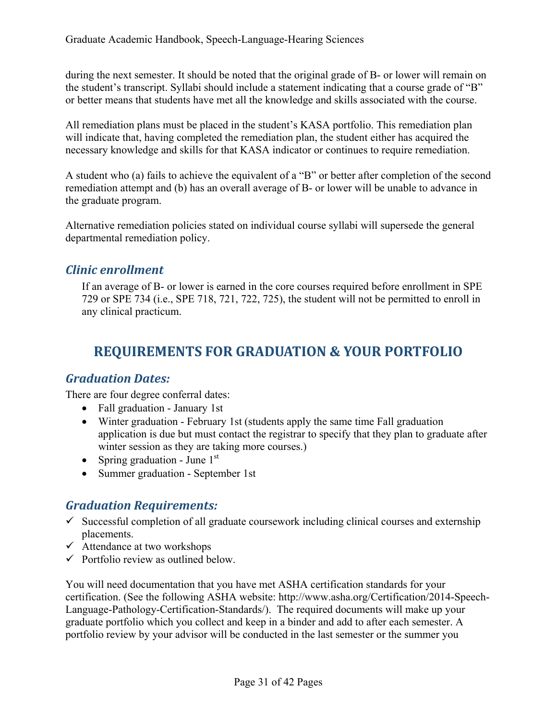during the next semester. It should be noted that the original grade of B- or lower will remain on the student's transcript. Syllabi should include a statement indicating that a course grade of "B" or better means that students have met all the knowledge and skills associated with the course.

All remediation plans must be placed in the student's KASA portfolio. This remediation plan will indicate that, having completed the remediation plan, the student either has acquired the necessary knowledge and skills for that KASA indicator or continues to require remediation.

A student who (a) fails to achieve the equivalent of a "B" or better after completion of the second remediation attempt and (b) has an overall average of B- or lower will be unable to advance in the graduate program.

Alternative remediation policies stated on individual course syllabi will supersede the general departmental remediation policy.

# *Clinic enrollment*

If an average of B- or lower is earned in the core courses required before enrollment in SPE 729 or SPE 734 (i.e., SPE 718, 721, 722, 725), the student will not be permitted to enroll in any clinical practicum.

# **REQUIREMENTS FOR GRADUATION & YOUR PORTFOLIO**

## *Graduation Dates:*

There are four degree conferral dates:

- Fall graduation January 1st
- Winter graduation February 1st (students apply the same time Fall graduation application is due but must contact the registrar to specify that they plan to graduate after winter session as they are taking more courses.)
- Spring graduation June  $1<sup>st</sup>$
- Summer graduation September 1st

## *Graduation Requirements:*

- $\checkmark$  Successful completion of all graduate coursework including clinical courses and externship placements.
- $\checkmark$  Attendance at two workshops
- $\checkmark$  Portfolio review as outlined below.

You will need documentation that you have met ASHA certification standards for your certification. (See the following ASHA website: http://www.asha.org/Certification/2014-Speech-Language-Pathology-Certification-Standards/). The required documents will make up your graduate portfolio which you collect and keep in a binder and add to after each semester. A portfolio review by your advisor will be conducted in the last semester or the summer you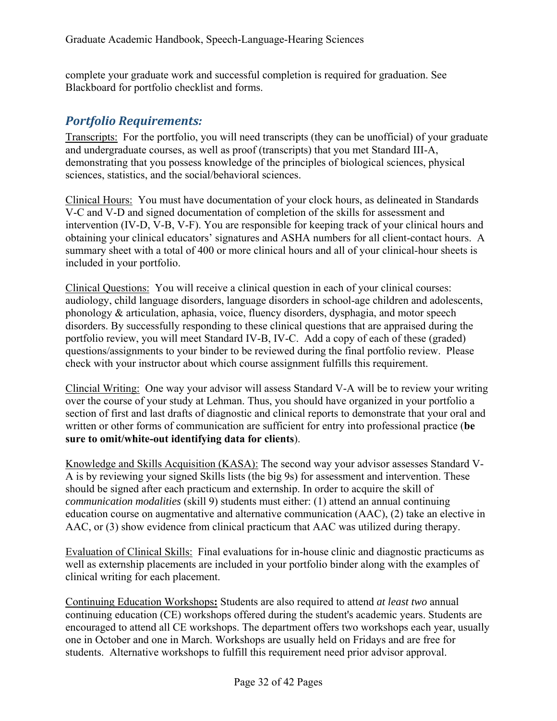complete your graduate work and successful completion is required for graduation. See Blackboard for portfolio checklist and forms.

# *Portfolio Requirements:*

Transcripts: For the portfolio, you will need transcripts (they can be unofficial) of your graduate and undergraduate courses, as well as proof (transcripts) that you met Standard III-A, demonstrating that you possess knowledge of the principles of biological sciences, physical sciences, statistics, and the social/behavioral sciences.

Clinical Hours: You must have documentation of your clock hours, as delineated in Standards V-C and V-D and signed documentation of completion of the skills for assessment and intervention (IV-D, V-B, V-F). You are responsible for keeping track of your clinical hours and obtaining your clinical educators' signatures and ASHA numbers for all client-contact hours. A summary sheet with a total of 400 or more clinical hours and all of your clinical-hour sheets is included in your portfolio.

Clinical Questions: You will receive a clinical question in each of your clinical courses: audiology, child language disorders, language disorders in school-age children and adolescents, phonology & articulation, aphasia, voice, fluency disorders, dysphagia, and motor speech disorders. By successfully responding to these clinical questions that are appraised during the portfolio review, you will meet Standard IV-B, IV-C. Add a copy of each of these (graded) questions/assignments to your binder to be reviewed during the final portfolio review. Please check with your instructor about which course assignment fulfills this requirement.

Clincial Writing: One way your advisor will assess Standard V-A will be to review your writing over the course of your study at Lehman. Thus, you should have organized in your portfolio a section of first and last drafts of diagnostic and clinical reports to demonstrate that your oral and written or other forms of communication are sufficient for entry into professional practice (**be sure to omit/white-out identifying data for clients**).

Knowledge and Skills Acquisition (KASA): The second way your advisor assesses Standard V-A is by reviewing your signed Skills lists (the big 9s) for assessment and intervention. These should be signed after each practicum and externship. In order to acquire the skill of *communication modalities* (skill 9) students must either: (1) attend an annual continuing education course on augmentative and alternative communication (AAC), (2) take an elective in AAC, or (3) show evidence from clinical practicum that AAC was utilized during therapy.

Evaluation of Clinical Skills: Final evaluations for in-house clinic and diagnostic practicums as well as externship placements are included in your portfolio binder along with the examples of clinical writing for each placement.

Continuing Education Workshops**:** Students are also required to attend *at least two* annual continuing education (CE) workshops offered during the student's academic years. Students are encouraged to attend all CE workshops. The department offers two workshops each year, usually one in October and one in March. Workshops are usually held on Fridays and are free for students. Alternative workshops to fulfill this requirement need prior advisor approval.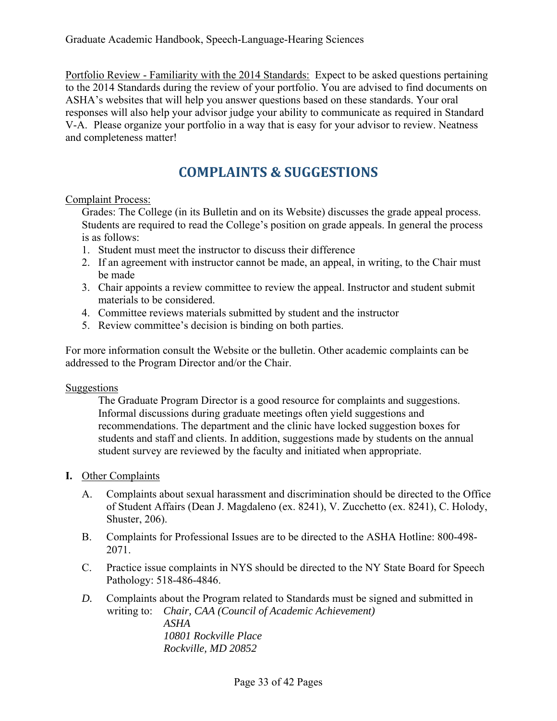Portfolio Review - Familiarity with the 2014 Standards: Expect to be asked questions pertaining to the 2014 Standards during the review of your portfolio. You are advised to find documents on ASHA's websites that will help you answer questions based on these standards. Your oral responses will also help your advisor judge your ability to communicate as required in Standard V-A. Please organize your portfolio in a way that is easy for your advisor to review. Neatness and completeness matter!

# **COMPLAINTS & SUGGESTIONS**

#### Complaint Process:

Grades: The College (in its Bulletin and on its Website) discusses the grade appeal process. Students are required to read the College's position on grade appeals. In general the process is as follows:

- 1. Student must meet the instructor to discuss their difference
- 2. If an agreement with instructor cannot be made, an appeal, in writing, to the Chair must be made
- 3. Chair appoints a review committee to review the appeal. Instructor and student submit materials to be considered.
- 4. Committee reviews materials submitted by student and the instructor
- 5. Review committee's decision is binding on both parties.

For more information consult the Website or the bulletin. Other academic complaints can be addressed to the Program Director and/or the Chair.

#### Suggestions

The Graduate Program Director is a good resource for complaints and suggestions. Informal discussions during graduate meetings often yield suggestions and recommendations. The department and the clinic have locked suggestion boxes for students and staff and clients. In addition, suggestions made by students on the annual student survey are reviewed by the faculty and initiated when appropriate.

#### **I.** Other Complaints

- A. Complaints about sexual harassment and discrimination should be directed to the Office of Student Affairs (Dean J. Magdaleno (ex. 8241), V. Zucchetto (ex. 8241), C. Holody, Shuster, 206).
- B. Complaints for Professional Issues are to be directed to the ASHA Hotline: 800-498- 2071.
- C. Practice issue complaints in NYS should be directed to the NY State Board for Speech Pathology: 518-486-4846.
- *D.* Complaints about the Program related to Standards must be signed and submitted in writing to: *Chair, CAA (Council of Academic Achievement) ASHA 10801 Rockville Place Rockville, MD 20852*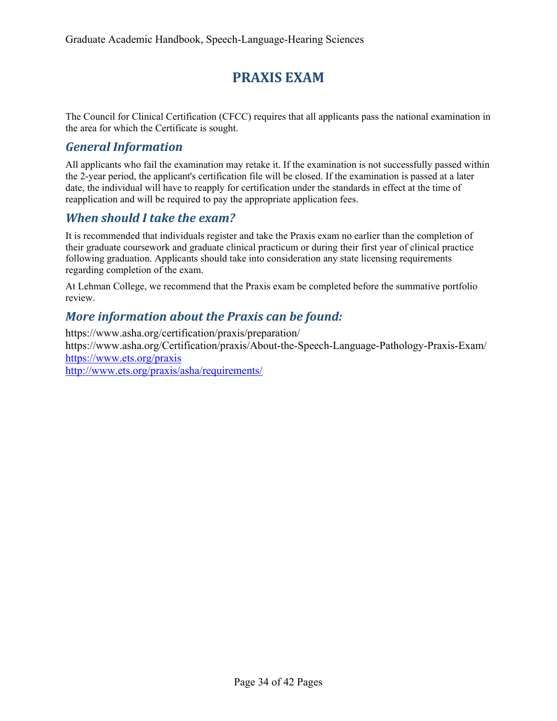# **PRAXIS EXAM**

The Council for Clinical Certification (CFCC) requires that all applicants pass the national examination in the area for which the Certificate is sought.

## *General Information*

All applicants who fail the examination may retake it. If the examination is not successfully passed within the 2-year period, the applicant's certification file will be closed. If the examination is passed at a later date, the individual will have to reapply for certification under the standards in effect at the time of reapplication and will be required to pay the appropriate application fees.

## *When should I take the exam?*

It is recommended that individuals register and take the Praxis exam no earlier than the completion of their graduate coursework and graduate clinical practicum or during their first year of clinical practice following graduation. Applicants should take into consideration any state licensing requirements regarding completion of the exam.

At Lehman College, we recommend that the Praxis exam be completed before the summative portfolio review.

# *More information about the Praxis can be found:*

https://www.asha.org/certification/praxis/preparation/ https://www.asha.org/Certification/praxis/About-the-Speech-Language-Pathology-Praxis-Exam/ https://www.ets.org/praxis

http://www.ets.org/praxis/asha/requirements/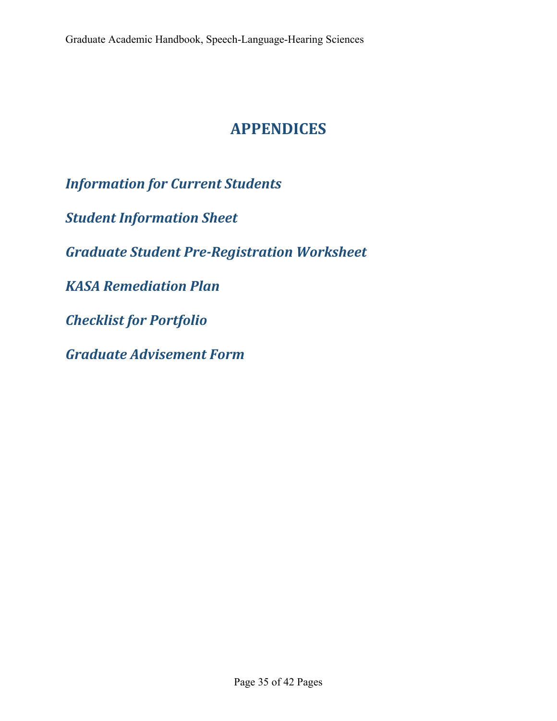# **APPENDICES**

*Information for Current Students Student Information Sheet Graduate Student Pre‐Registration Worksheet KASA Remediation Plan Checklist for Portfolio Graduate Advisement Form*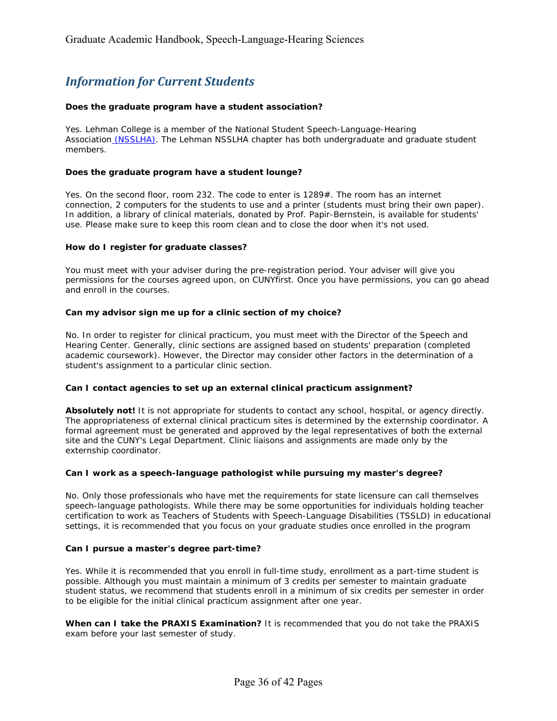# *Information for Current Students*

#### **Does the graduate program have a student association?**

Yes. Lehman College is a member of the National Student Speech-Language-Hearing Association (NSSLHA). The Lehman NSSLHA chapter has both undergraduate and graduate student members.

#### **Does the graduate program have a student lounge?**

Yes. On the second floor, room 232. The code to enter is 1289#. The room has an internet connection, 2 computers for the students to use and a printer (students must bring their own paper). In addition, a library of clinical materials, donated by Prof. Papir-Bernstein, is available for students' use. Please make sure to keep this room clean and to close the door when it's not used.

#### **How do I register for graduate classes?**

You must meet with your adviser during the pre-registration period. Your adviser will give you permissions for the courses agreed upon, on CUNYfirst. Once you have permissions, you can go ahead and enroll in the courses.

#### **Can my advisor sign me up for a clinic section of my choice?**

No. In order to register for clinical practicum, you must meet with the Director of the Speech and Hearing Center. Generally, clinic sections are assigned based on students' preparation (completed academic coursework). However, the Director may consider other factors in the determination of a student's assignment to a particular clinic section.

#### **Can I contact agencies to set up an external clinical practicum assignment?**

**Absolutely not!** It is not appropriate for students to contact any school, hospital, or agency directly. The appropriateness of external clinical practicum sites is determined by the externship coordinator. A formal agreement must be generated and approved by the legal representatives of both the external site and the CUNY's Legal Department. Clinic liaisons and assignments are made only by the externship coordinator.

#### **Can I work as a speech-language pathologist while pursuing my master's degree?**

No. Only those professionals who have met the requirements for state licensure can call themselves speech-language pathologists. While there may be some opportunities for individuals holding teacher certification to work as Teachers of Students with Speech-Language Disabilities (TSSLD) in educational settings, it is recommended that you focus on your graduate studies once enrolled in the program

#### **Can I pursue a master's degree part-time?**

Yes. While it is recommended that you enroll in full-time study, enrollment as a part-time student is possible. Although you must maintain a minimum of 3 credits per semester to maintain graduate student status, we recommend that students enroll in a minimum of six credits per semester in order to be eligible for the initial clinical practicum assignment after one year.

**When can I take the PRAXIS Examination?** It is recommended that you do not take the PRAXIS exam before your last semester of study.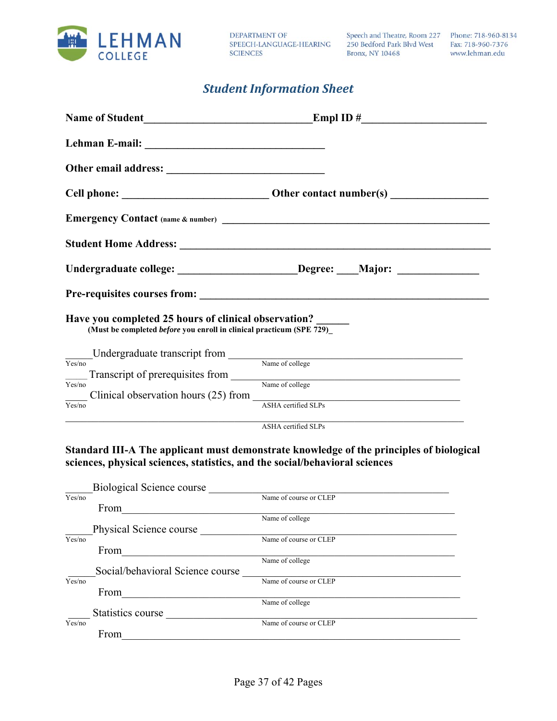

**DEPARTMENT OF** SPEECH-LANGUAGE-HEARING **SCIENCES** 

Speech and Theatre, Room 227 Phone: 718-960-8134 250 Bedford Park Blvd West **Bronx, NY 10468** 

Fax: 718-960-7376 www.lehman.edu

## *Student Information Sheet*

| Have you completed 25 hours of clinical observation?<br>(Must be completed <i>before</i> you enroll in clinical practicum (SPE 729) |                                                                                                                                                                                                                                                             |
|-------------------------------------------------------------------------------------------------------------------------------------|-------------------------------------------------------------------------------------------------------------------------------------------------------------------------------------------------------------------------------------------------------------|
|                                                                                                                                     | $\underbrace{\text{Undergraduate transcript from}}_{\text{Name of college}}$                                                                                                                                                                                |
|                                                                                                                                     |                                                                                                                                                                                                                                                             |
| Yes/no                                                                                                                              | Transcript of prerequisites from Name of college                                                                                                                                                                                                            |
|                                                                                                                                     | Clinical observation hours (25) from                                                                                                                                                                                                                        |
| Yes/no                                                                                                                              | <b>ASHA</b> certified SLPs                                                                                                                                                                                                                                  |
|                                                                                                                                     | <u> 1989 - Johann John Harrison, mars et al. 1989 - 1989 - 1989 - 1989 - 1989 - 1989 - 1989 - 1989 - 1989 - 1989 - 1989 - 1989 - 1989 - 1989 - 1989 - 1989 - 1989 - 1989 - 1989 - 1989 - 1989 - 1989 - 1989 - 1989 - 1989 - 1989</u><br>ASHA certified SLPs |

**Standard III-A The applicant must demonstrate knowledge of the principles of biological sciences, physical sciences, statistics, and the social/behavioral sciences** 

|        | <b>Biological Science course</b> |                        |
|--------|----------------------------------|------------------------|
| Yes/no |                                  | Name of course or CLEP |
|        | From                             |                        |
|        |                                  | Name of college        |
|        | Physical Science course          |                        |
| Yes/no |                                  | Name of course or CLEP |
|        | From                             |                        |
|        |                                  | Name of college        |
|        | Social/behavioral Science course |                        |
| Yes/no |                                  | Name of course or CLEP |
|        | From                             |                        |
|        |                                  | Name of college        |
|        | Statistics course                |                        |
| Yes/no |                                  | Name of course or CLEP |
|        | From                             |                        |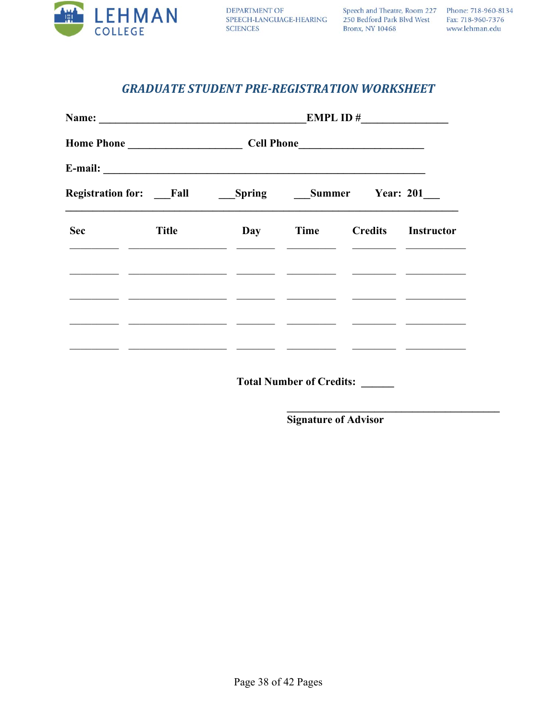

Speech and Theatre, Room 227 Phone: 718-960-8134 250 Bedford Park Blvd West Fax: 718-960-7376 Bronx, NY 10468

www.lehman.edu

## **GRADUATE STUDENT PRE-REGISTRATION WORKSHEET**

|            |                                                                                                                                               |     | EMPL ID $#$ |  |                    |  |  |
|------------|-----------------------------------------------------------------------------------------------------------------------------------------------|-----|-------------|--|--------------------|--|--|
|            |                                                                                                                                               |     |             |  |                    |  |  |
|            |                                                                                                                                               |     |             |  |                    |  |  |
|            | <b>Registration for:</b> Fall Spring Summer Year: 201                                                                                         |     |             |  |                    |  |  |
| <b>Sec</b> | <b>Title</b><br><u> 1989 - Johann John Stone, mars et al. 1989 - John Stone, mars et al. 1989 - John Stone, mars et al. 1989 - John Stone</u> | Day | <b>Time</b> |  | Credits Instructor |  |  |
|            |                                                                                                                                               |     |             |  |                    |  |  |
|            |                                                                                                                                               |     |             |  |                    |  |  |
|            |                                                                                                                                               |     |             |  |                    |  |  |
|            |                                                                                                                                               |     |             |  |                    |  |  |

**Total Number of Credits:** 

**Signature of Advisor**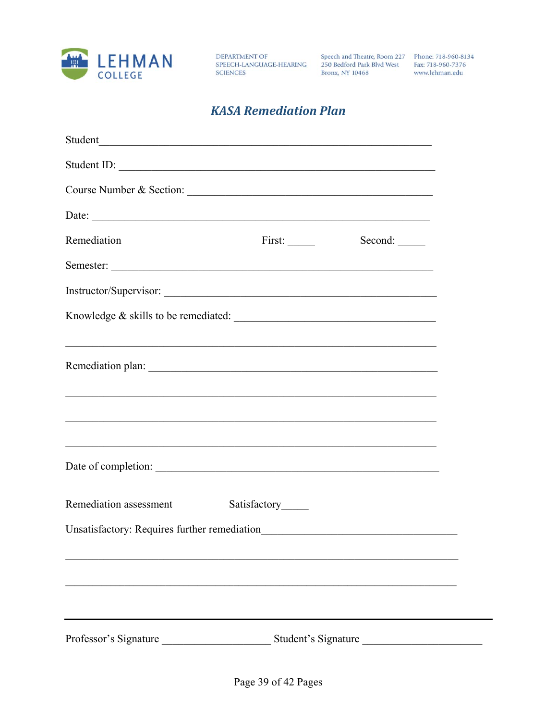

DEPARTMENT OF SPEECH-LANGUAGE-HEARING **SCIENCES** 

Speech and Theatre, Room 227 Phone: 718-960-8134 250 Bedford Park Blvd West Fax: 718-960-7376 **Bronx**, NY 10468

www.lehman.edu

# **KASA Remediation Plan**

| Student ID:                                                                                                           |                    |                     |  |
|-----------------------------------------------------------------------------------------------------------------------|--------------------|---------------------|--|
|                                                                                                                       |                    |                     |  |
|                                                                                                                       |                    |                     |  |
| Remediation                                                                                                           | First:             |                     |  |
|                                                                                                                       |                    |                     |  |
|                                                                                                                       |                    |                     |  |
| Knowledge & skills to be remediated:                                                                                  |                    |                     |  |
| <u> 1989 - Johann Barbert, mars ar yn y brenin y brenin y brenin y brenin y brenin y brenin y brenin y brenin y b</u> |                    |                     |  |
|                                                                                                                       |                    |                     |  |
| <u> 1989 - Johann Johann Johann Johann Johann Johann Johann Johann Johann Johann Johann Johann Johann Johann Joh</u>  |                    |                     |  |
| <u> 1989 - Johann Barn, fransk politik (f. 1989)</u>                                                                  |                    |                     |  |
| <u> 1989 - Andrea Stadt Barbara, amerikan basar dan berasal dalam berasal dalam basa dalam berasal dalam berasal</u>  |                    |                     |  |
|                                                                                                                       |                    |                     |  |
| Remediation assessment                                                                                                | Satisfactory______ |                     |  |
|                                                                                                                       |                    |                     |  |
|                                                                                                                       |                    |                     |  |
|                                                                                                                       |                    |                     |  |
|                                                                                                                       |                    |                     |  |
| Professor's Signature                                                                                                 |                    | Student's Signature |  |
|                                                                                                                       |                    |                     |  |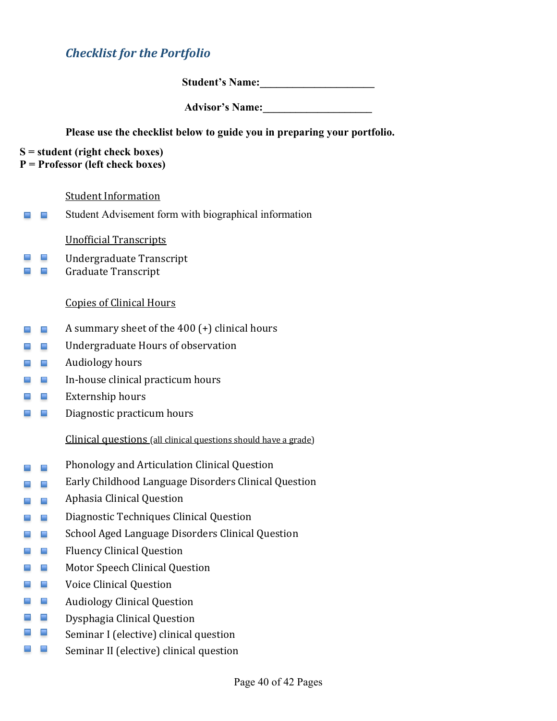# *Checklist for the Portfolio*

**Student's Name:\_\_\_\_\_\_\_\_\_\_\_\_\_\_\_\_\_\_\_\_\_** 

**Advisor's Name:\_\_\_\_\_\_\_\_\_\_\_\_\_\_\_\_\_\_\_\_** 

#### **Please use the checklist below to guide you in preparing your portfolio.**

- **S = student (right check boxes)**
- **P = Professor (left check boxes)**

#### Student Information

 $\blacksquare$  $\blacksquare$ Student Advisement form with biographical information

#### Unofficial Transcripts

- $\mathcal{L}_{\text{max}}$ Undergraduate Transcript
- Graduate Transcript m in

#### Copies of Clinical Hours

- A summary sheet of the 400 (+) clinical hours  $\blacksquare$  $\blacksquare$
- Undergraduate Hours of observation  $\blacksquare$
- Audiology hours  $\sim$ **The Second**
- **A A** In-house clinical practicum hours
- Externship hours
- $\blacksquare$ Diagnostic practicum hours

Clinical questions (all clinical questions should have a grade)

- Phonology and Articulation Clinical Question  $\blacksquare$  $\blacksquare$
- Early Childhood Language Disorders Clinical Question - -
- Aphasia Clinical Question  $\mathcal{L}_{\mathcal{A}}$  , and
- Diagnostic Techniques Clinical Question - -
- School Aged Language Disorders Clinical Question  $\blacksquare$ **Service**
- Fluency Clinical Question **Service**
- -Motor Speech Clinical Question
- m en Voice Clinical Question
- **The Contract Service** Audiology Clinical Question
- Dysphagia Clinical Question **CONTRACTOR**
- **Contract** Seminar I (elective) clinical question
- سا س Seminar II (elective) clinical question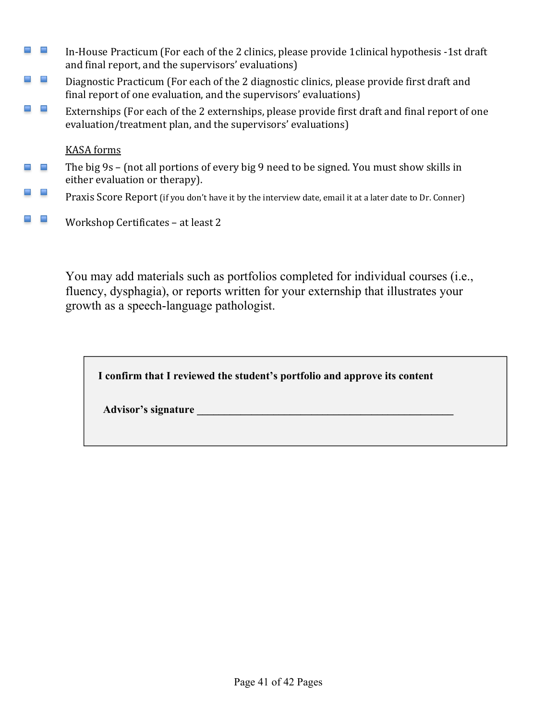- $\sim$ In-House Practicum (For each of the 2 clinics, please provide 1clinical hypothesis -1st draft and final report, and the supervisors' evaluations)
- an an Diagnostic Practicum (For each of the 2 diagnostic clinics, please provide first draft and final report of one evaluation, and the supervisors' evaluations)
- -Externships (For each of the 2 externships, please provide first draft and final report of one evaluation/treatment plan, and the supervisors' evaluations)

KASA forms

- The big 9s (not all portions of every big 9 need to be signed. You must show skills in  $\blacksquare$  $\overline{\phantom{a}}$ either evaluation or therapy).
- -Praxis Score Report (if you don't have it by the interview date, email it at a later date to Dr. Conner)
- **Contract Contract** Workshop Certificates – at least 2

You may add materials such as portfolios completed for individual courses (i.e., fluency, dysphagia), or reports written for your externship that illustrates your growth as a speech-language pathologist.

**I confirm that I reviewed the student's portfolio and approve its content** 

Advisor's signature **and the set of the set of the set of the set of the set of the set of the set of the set of the set of the set of the set of the set of the set of the set of the set of the set of the set of the set of**